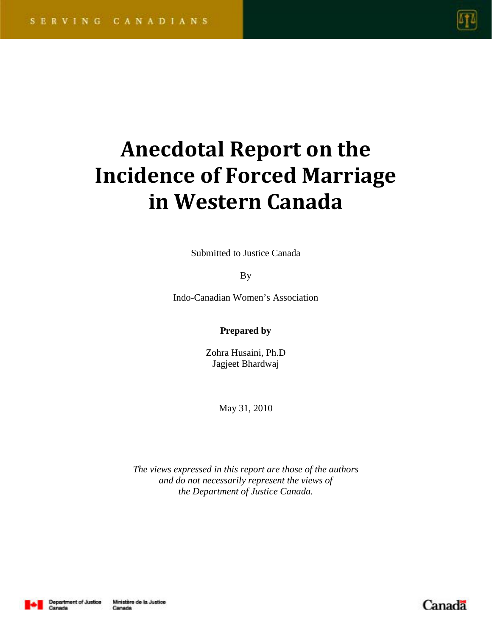

# **Anecdotal Report on the Incidence of Forced Marriage in Western Canada**

Submitted to Justice Canada

By

Indo-Canadian Women's Association

**Prepared by**

Zohra Husaini, Ph.D Jagjeet Bhardwaj

May 31, 2010

*The views expressed in this report are those of the authors and do not necessarily represent the views of the Department of Justice Canada.*



Canada

Canada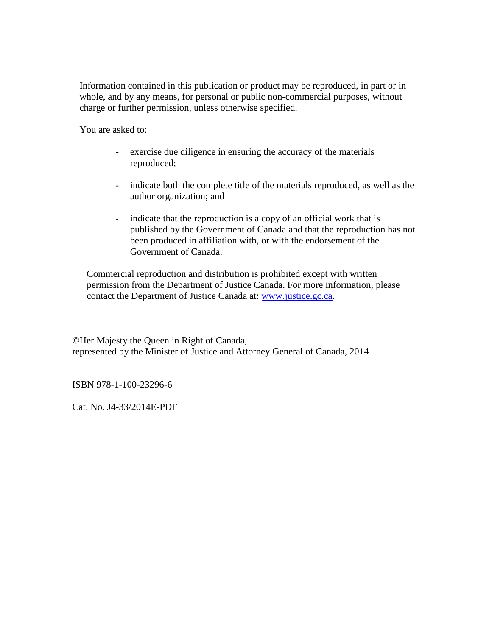Information contained in this publication or product may be reproduced, in part or in whole, and by any means, for personal or public non-commercial purposes, without charge or further permission, unless otherwise specified.

You are asked to:

- exercise due diligence in ensuring the accuracy of the materials reproduced;
- indicate both the complete title of the materials reproduced, as well as the author organization; and
- indicate that the reproduction is a copy of an official work that is published by the Government of Canada and that the reproduction has not been produced in affiliation with, or with the endorsement of the Government of Canada.

Commercial reproduction and distribution is prohibited except with written permission from the Department of Justice Canada. For more information, please contact the Department of Justice Canada at: [www.justice.gc.ca.](http://www.justice.gc.ca/)

©Her Majesty the Queen in Right of Canada, represented by the Minister of Justice and Attorney General of Canada, 2014

ISBN 978-1-100-23296-6

Cat. No. J4-33/2014E-PDF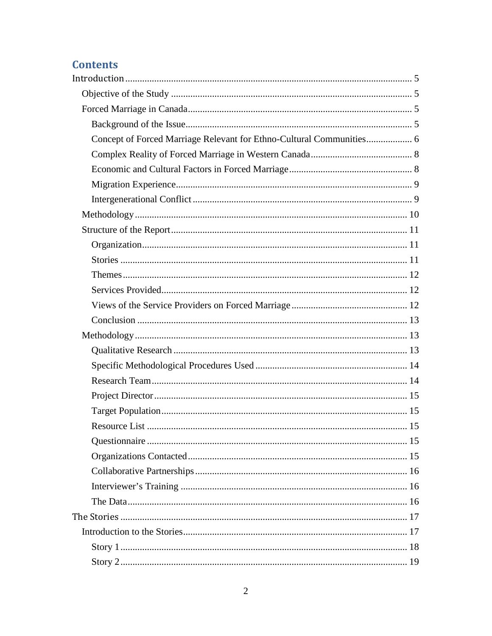# **Contents**

| Concept of Forced Marriage Relevant for Ethno-Cultural Communities 6 |  |
|----------------------------------------------------------------------|--|
|                                                                      |  |
|                                                                      |  |
|                                                                      |  |
|                                                                      |  |
|                                                                      |  |
|                                                                      |  |
|                                                                      |  |
|                                                                      |  |
|                                                                      |  |
|                                                                      |  |
|                                                                      |  |
|                                                                      |  |
|                                                                      |  |
|                                                                      |  |
|                                                                      |  |
|                                                                      |  |
|                                                                      |  |
|                                                                      |  |
|                                                                      |  |
|                                                                      |  |
|                                                                      |  |
|                                                                      |  |
|                                                                      |  |
|                                                                      |  |
|                                                                      |  |
|                                                                      |  |
|                                                                      |  |
|                                                                      |  |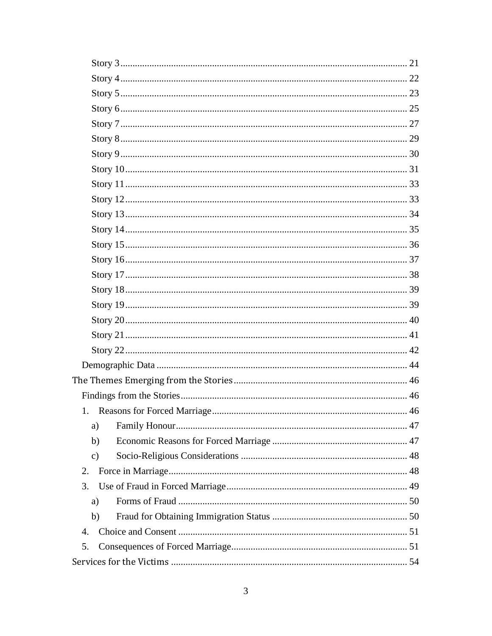| 1.             |  |
|----------------|--|
| a)             |  |
| b)             |  |
| $\mathbf{c})$  |  |
| 2.             |  |
| 3.             |  |
| a)             |  |
| b)             |  |
| $\mathbf{4}$ . |  |
| 5.             |  |
|                |  |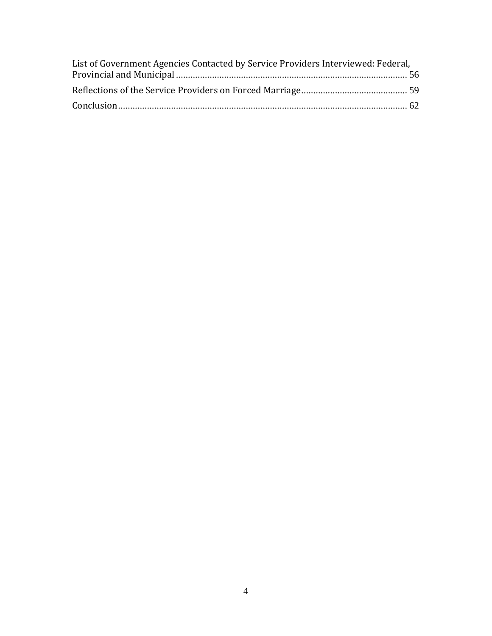| List of Government Agencies Contacted by Service Providers Interviewed: Federal, |  |  |  |
|----------------------------------------------------------------------------------|--|--|--|
|                                                                                  |  |  |  |
|                                                                                  |  |  |  |
|                                                                                  |  |  |  |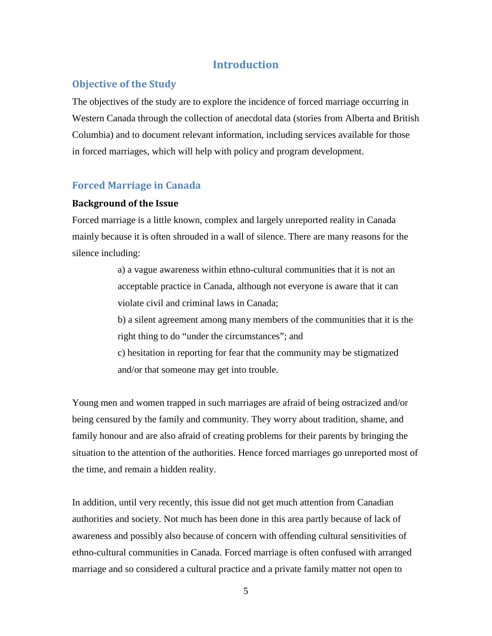# **Introduction**

# <span id="page-5-1"></span><span id="page-5-0"></span>**Objective of the Study**

The objectives of the study are to explore the incidence of forced marriage occurring in Western Canada through the collection of anecdotal data (stories from Alberta and British Columbia) and to document relevant information, including services available for those in forced marriages, which will help with policy and program development.

## <span id="page-5-2"></span>**Forced Marriage in Canada**

#### <span id="page-5-3"></span>**Background of the Issue**

Forced marriage is a little known, complex and largely unreported reality in Canada mainly because it is often shrouded in a wall of silence. There are many reasons for the silence including:

> a) a vague awareness within ethno-cultural communities that it is not an acceptable practice in Canada, although not everyone is aware that it can violate civil and criminal laws in Canada;

b) a silent agreement among many members of the communities that it is the right thing to do "under the circumstances"; and

c) hesitation in reporting for fear that the community may be stigmatized and/or that someone may get into trouble.

Young men and women trapped in such marriages are afraid of being ostracized and/or being censured by the family and community. They worry about tradition, shame, and family honour and are also afraid of creating problems for their parents by bringing the situation to the attention of the authorities. Hence forced marriages go unreported most of the time, and remain a hidden reality.

In addition, until very recently, this issue did not get much attention from Canadian authorities and society. Not much has been done in this area partly because of lack of awareness and possibly also because of concern with offending cultural sensitivities of ethno-cultural communities in Canada. Forced marriage is often confused with arranged marriage and so considered a cultural practice and a private family matter not open to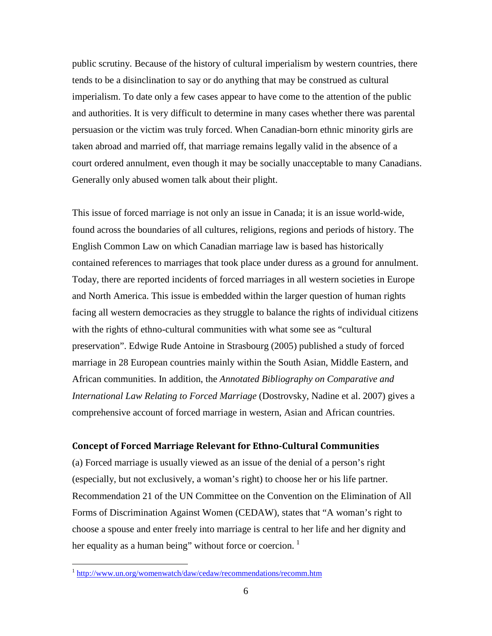public scrutiny. Because of the history of cultural imperialism by western countries, there tends to be a disinclination to say or do anything that may be construed as cultural imperialism. To date only a few cases appear to have come to the attention of the public and authorities. It is very difficult to determine in many cases whether there was parental persuasion or the victim was truly forced. When Canadian-born ethnic minority girls are taken abroad and married off, that marriage remains legally valid in the absence of a court ordered annulment, even though it may be socially unacceptable to many Canadians. Generally only abused women talk about their plight.

This issue of forced marriage is not only an issue in Canada; it is an issue world-wide, found across the boundaries of all cultures, religions, regions and periods of history. The English Common Law on which Canadian marriage law is based has historically contained references to marriages that took place under duress as a ground for annulment. Today, there are reported incidents of forced marriages in all western societies in Europe and North America. This issue is embedded within the larger question of human rights facing all western democracies as they struggle to balance the rights of individual citizens with the rights of ethno-cultural communities with what some see as "cultural preservation". Edwige Rude Antoine in Strasbourg (2005) published a study of forced marriage in 28 European countries mainly within the South Asian, Middle Eastern, and African communities. In addition, the *Annotated Bibliography on Comparative and International Law Relating to Forced Marriage* (Dostrovsky, Nadine et al. 2007) gives a comprehensive account of forced marriage in western, Asian and African countries.

# <span id="page-6-0"></span>**Concept of Forced Marriage Relevant for Ethno-Cultural Communities**

(a) Forced marriage is usually viewed as an issue of the denial of a person's right (especially, but not exclusively, a woman's right) to choose her or his life partner. Recommendation 21 of the UN Committee on the Convention on the Elimination of All Forms of Discrimination Against Women (CEDAW), states that "A woman's right to choose a spouse and enter freely into marriage is central to her life and her dignity and her equality as a human being" without force or coercion.  $\frac{1}{1}$  $\frac{1}{1}$  $\frac{1}{1}$ 

 <sup>1</sup> <http://www.un.org/womenwatch/daw/cedaw/recommendations/recomm.htm>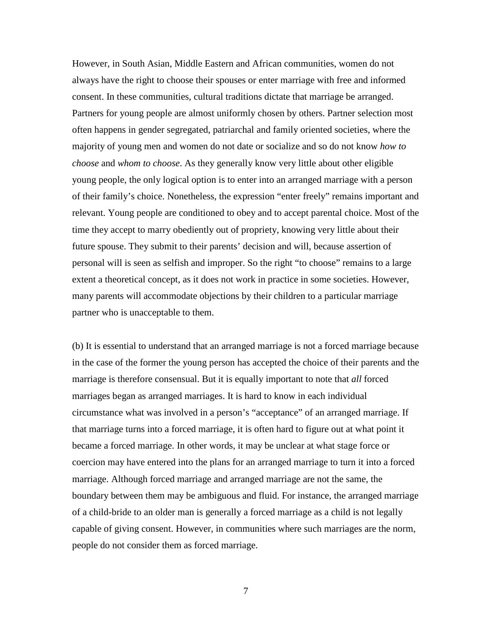However, in South Asian, Middle Eastern and African communities, women do not always have the right to choose their spouses or enter marriage with free and informed consent. In these communities, cultural traditions dictate that marriage be arranged. Partners for young people are almost uniformly chosen by others. Partner selection most often happens in gender segregated, patriarchal and family oriented societies, where the majority of young men and women do not date or socialize and so do not know *how to choose* and *whom to choose*. As they generally know very little about other eligible young people, the only logical option is to enter into an arranged marriage with a person of their family's choice. Nonetheless, the expression "enter freely" remains important and relevant. Young people are conditioned to obey and to accept parental choice. Most of the time they accept to marry obediently out of propriety, knowing very little about their future spouse. They submit to their parents' decision and will, because assertion of personal will is seen as selfish and improper. So the right "to choose" remains to a large extent a theoretical concept, as it does not work in practice in some societies. However, many parents will accommodate objections by their children to a particular marriage partner who is unacceptable to them.

(b) It is essential to understand that an arranged marriage is not a forced marriage because in the case of the former the young person has accepted the choice of their parents and the marriage is therefore consensual. But it is equally important to note that *all* forced marriages began as arranged marriages. It is hard to know in each individual circumstance what was involved in a person's "acceptance" of an arranged marriage. If that marriage turns into a forced marriage, it is often hard to figure out at what point it became a forced marriage. In other words, it may be unclear at what stage force or coercion may have entered into the plans for an arranged marriage to turn it into a forced marriage. Although forced marriage and arranged marriage are not the same, the boundary between them may be ambiguous and fluid. For instance, the arranged marriage of a child-bride to an older man is generally a forced marriage as a child is not legally capable of giving consent. However, in communities where such marriages are the norm, people do not consider them as forced marriage.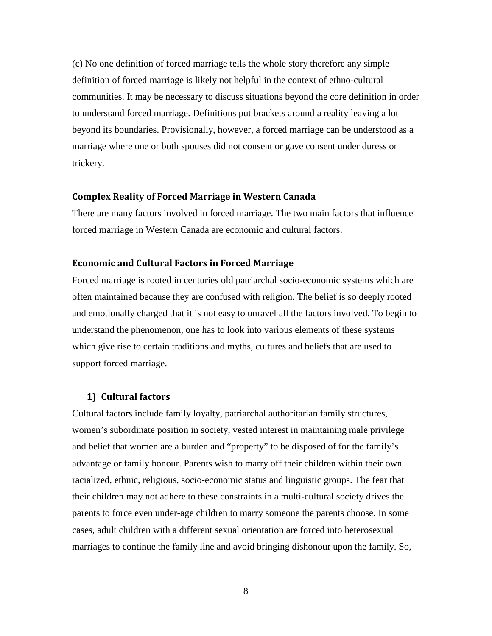(c) No one definition of forced marriage tells the whole story therefore any simple definition of forced marriage is likely not helpful in the context of ethno-cultural communities. It may be necessary to discuss situations beyond the core definition in order to understand forced marriage. Definitions put brackets around a reality leaving a lot beyond its boundaries. Provisionally, however, a forced marriage can be understood as a marriage where one or both spouses did not consent or gave consent under duress or trickery.

#### <span id="page-8-0"></span>**Complex Reality of Forced Marriage in Western Canada**

There are many factors involved in forced marriage. The two main factors that influence forced marriage in Western Canada are economic and cultural factors.

#### <span id="page-8-1"></span>**Economic and Cultural Factors in Forced Marriage**

Forced marriage is rooted in centuries old patriarchal socio-economic systems which are often maintained because they are confused with religion. The belief is so deeply rooted and emotionally charged that it is not easy to unravel all the factors involved. To begin to understand the phenomenon, one has to look into various elements of these systems which give rise to certain traditions and myths, cultures and beliefs that are used to support forced marriage.

#### **1) Cultural factors**

Cultural factors include family loyalty, patriarchal authoritarian family structures, women's subordinate position in society, vested interest in maintaining male privilege and belief that women are a burden and "property" to be disposed of for the family's advantage or family honour. Parents wish to marry off their children within their own racialized, ethnic, religious, socio-economic status and linguistic groups. The fear that their children may not adhere to these constraints in a multi-cultural society drives the parents to force even under-age children to marry someone the parents choose. In some cases, adult children with a different sexual orientation are forced into heterosexual marriages to continue the family line and avoid bringing dishonour upon the family. So,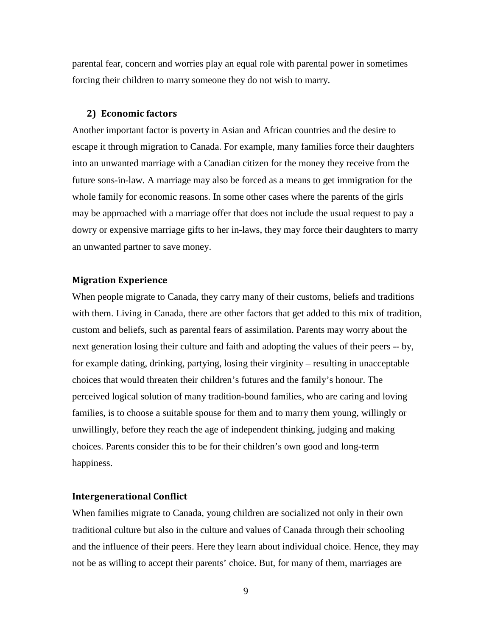parental fear, concern and worries play an equal role with parental power in sometimes forcing their children to marry someone they do not wish to marry.

#### **2) Economic factors**

Another important factor is poverty in Asian and African countries and the desire to escape it through migration to Canada. For example, many families force their daughters into an unwanted marriage with a Canadian citizen for the money they receive from the future sons-in-law. A marriage may also be forced as a means to get immigration for the whole family for economic reasons. In some other cases where the parents of the girls may be approached with a marriage offer that does not include the usual request to pay a dowry or expensive marriage gifts to her in-laws, they may force their daughters to marry an unwanted partner to save money.

#### <span id="page-9-0"></span>**Migration Experience**

When people migrate to Canada, they carry many of their customs, beliefs and traditions with them. Living in Canada, there are other factors that get added to this mix of tradition, custom and beliefs, such as parental fears of assimilation. Parents may worry about the next generation losing their culture and faith and adopting the values of their peers -- by, for example dating, drinking, partying, losing their virginity – resulting in unacceptable choices that would threaten their children's futures and the family's honour. The perceived logical solution of many tradition-bound families, who are caring and loving families, is to choose a suitable spouse for them and to marry them young, willingly or unwillingly, before they reach the age of independent thinking, judging and making choices. Parents consider this to be for their children's own good and long-term happiness.

#### <span id="page-9-1"></span>**Intergenerational Conflict**

When families migrate to Canada, young children are socialized not only in their own traditional culture but also in the culture and values of Canada through their schooling and the influence of their peers. Here they learn about individual choice. Hence, they may not be as willing to accept their parents' choice. But, for many of them, marriages are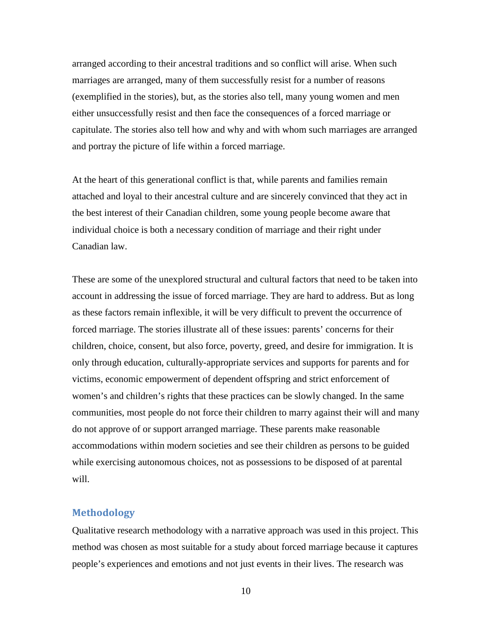arranged according to their ancestral traditions and so conflict will arise. When such marriages are arranged, many of them successfully resist for a number of reasons (exemplified in the stories), but, as the stories also tell, many young women and men either unsuccessfully resist and then face the consequences of a forced marriage or capitulate. The stories also tell how and why and with whom such marriages are arranged and portray the picture of life within a forced marriage.

At the heart of this generational conflict is that, while parents and families remain attached and loyal to their ancestral culture and are sincerely convinced that they act in the best interest of their Canadian children, some young people become aware that individual choice is both a necessary condition of marriage and their right under Canadian law.

These are some of the unexplored structural and cultural factors that need to be taken into account in addressing the issue of forced marriage. They are hard to address. But as long as these factors remain inflexible, it will be very difficult to prevent the occurrence of forced marriage. The stories illustrate all of these issues: parents' concerns for their children, choice, consent, but also force, poverty, greed, and desire for immigration. It is only through education, culturally-appropriate services and supports for parents and for victims, economic empowerment of dependent offspring and strict enforcement of women's and children's rights that these practices can be slowly changed. In the same communities, most people do not force their children to marry against their will and many do not approve of or support arranged marriage. These parents make reasonable accommodations within modern societies and see their children as persons to be guided while exercising autonomous choices, not as possessions to be disposed of at parental will.

# <span id="page-10-0"></span>**Methodology**

Qualitative research methodology with a narrative approach was used in this project. This method was chosen as most suitable for a study about forced marriage because it captures people's experiences and emotions and not just events in their lives. The research was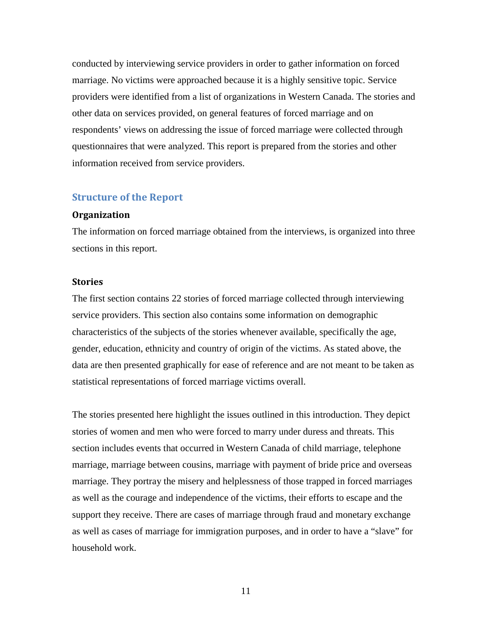conducted by interviewing service providers in order to gather information on forced marriage. No victims were approached because it is a highly sensitive topic. Service providers were identified from a list of organizations in Western Canada. The stories and other data on services provided, on general features of forced marriage and on respondents' views on addressing the issue of forced marriage were collected through questionnaires that were analyzed. This report is prepared from the stories and other information received from service providers.

#### <span id="page-11-0"></span>**Structure of the Report**

#### <span id="page-11-1"></span>**Organization**

The information on forced marriage obtained from the interviews, is organized into three sections in this report.

#### <span id="page-11-2"></span>**Stories**

The first section contains 22 stories of forced marriage collected through interviewing service providers. This section also contains some information on demographic characteristics of the subjects of the stories whenever available, specifically the age, gender, education, ethnicity and country of origin of the victims. As stated above, the data are then presented graphically for ease of reference and are not meant to be taken as statistical representations of forced marriage victims overall.

The stories presented here highlight the issues outlined in this introduction. They depict stories of women and men who were forced to marry under duress and threats. This section includes events that occurred in Western Canada of child marriage, telephone marriage, marriage between cousins, marriage with payment of bride price and overseas marriage. They portray the misery and helplessness of those trapped in forced marriages as well as the courage and independence of the victims, their efforts to escape and the support they receive. There are cases of marriage through fraud and monetary exchange as well as cases of marriage for immigration purposes, and in order to have a "slave" for household work.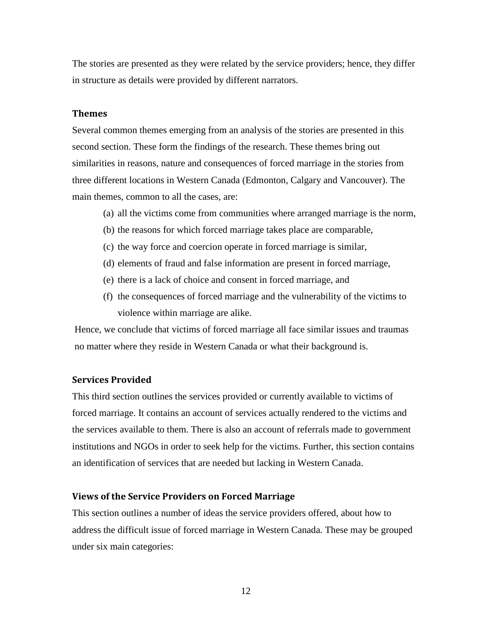The stories are presented as they were related by the service providers; hence, they differ in structure as details were provided by different narrators.

#### <span id="page-12-0"></span>**Themes**

Several common themes emerging from an analysis of the stories are presented in this second section. These form the findings of the research. These themes bring out similarities in reasons, nature and consequences of forced marriage in the stories from three different locations in Western Canada (Edmonton, Calgary and Vancouver). The main themes, common to all the cases, are:

- (a) all the victims come from communities where arranged marriage is the norm,
- (b) the reasons for which forced marriage takes place are comparable,
- (c) the way force and coercion operate in forced marriage is similar,
- (d) elements of fraud and false information are present in forced marriage,
- (e) there is a lack of choice and consent in forced marriage, and
- (f) the consequences of forced marriage and the vulnerability of the victims to violence within marriage are alike.

Hence, we conclude that victims of forced marriage all face similar issues and traumas no matter where they reside in Western Canada or what their background is.

#### <span id="page-12-1"></span>**Services Provided**

This third section outlines the services provided or currently available to victims of forced marriage. It contains an account of services actually rendered to the victims and the services available to them. There is also an account of referrals made to government institutions and NGOs in order to seek help for the victims. Further, this section contains an identification of services that are needed but lacking in Western Canada.

#### <span id="page-12-2"></span>**Views of the Service Providers on Forced Marriage**

This section outlines a number of ideas the service providers offered, about how to address the difficult issue of forced marriage in Western Canada. These may be grouped under six main categories: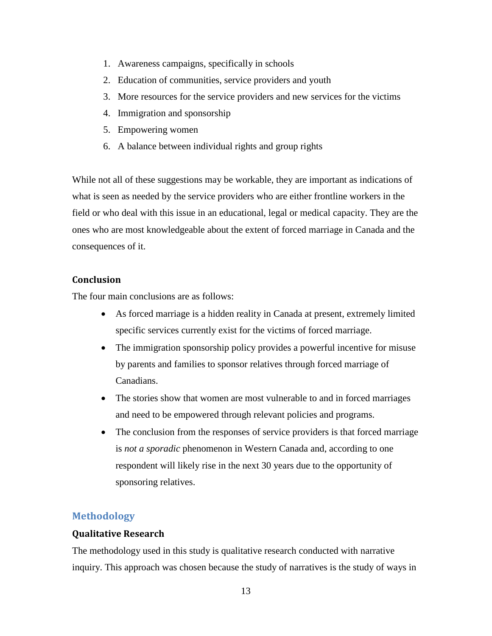- 1. Awareness campaigns, specifically in schools
- 2. Education of communities, service providers and youth
- 3. More resources for the service providers and new services for the victims
- 4. Immigration and sponsorship
- 5. Empowering women
- 6. A balance between individual rights and group rights

While not all of these suggestions may be workable, they are important as indications of what is seen as needed by the service providers who are either frontline workers in the field or who deal with this issue in an educational, legal or medical capacity. They are the ones who are most knowledgeable about the extent of forced marriage in Canada and the consequences of it.

# <span id="page-13-0"></span>**Conclusion**

The four main conclusions are as follows:

- As forced marriage is a hidden reality in Canada at present, extremely limited specific services currently exist for the victims of forced marriage.
- The immigration sponsorship policy provides a powerful incentive for misuse by parents and families to sponsor relatives through forced marriage of Canadians.
- The stories show that women are most vulnerable to and in forced marriages and need to be empowered through relevant policies and programs.
- The conclusion from the responses of service providers is that forced marriage is *not a sporadic* phenomenon in Western Canada and, according to one respondent will likely rise in the next 30 years due to the opportunity of sponsoring relatives.

## <span id="page-13-1"></span>**Methodology**

#### <span id="page-13-2"></span>**Qualitative Research**

The methodology used in this study is qualitative research conducted with narrative inquiry. This approach was chosen because the study of narratives is the study of ways in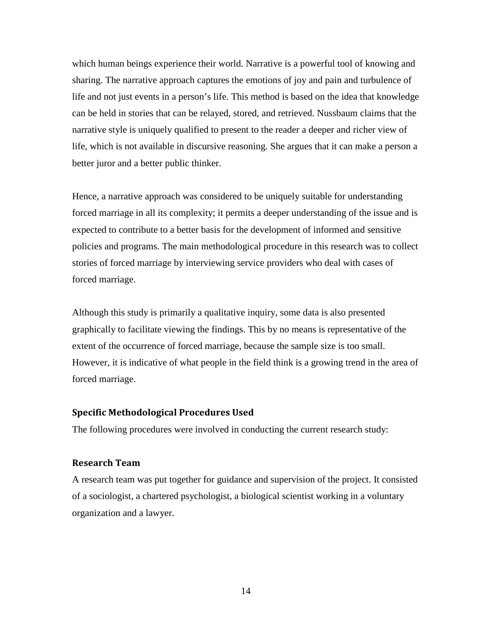which human beings experience their world. Narrative is a powerful tool of knowing and sharing. The narrative approach captures the emotions of joy and pain and turbulence of life and not just events in a person's life. This method is based on the idea that knowledge can be held in stories that can be relayed, stored, and retrieved. Nussbaum claims that the narrative style is uniquely qualified to present to the reader a deeper and richer view of life, which is not available in discursive reasoning. She argues that it can make a person a better juror and a better public thinker.

Hence, a narrative approach was considered to be uniquely suitable for understanding forced marriage in all its complexity; it permits a deeper understanding of the issue and is expected to contribute to a better basis for the development of informed and sensitive policies and programs. The main methodological procedure in this research was to collect stories of forced marriage by interviewing service providers who deal with cases of forced marriage.

Although this study is primarily a qualitative inquiry, some data is also presented graphically to facilitate viewing the findings. This by no means is representative of the extent of the occurrence of forced marriage, because the sample size is too small. However, it is indicative of what people in the field think is a growing trend in the area of forced marriage.

#### <span id="page-14-0"></span>**Specific Methodological Procedures Used**

The following procedures were involved in conducting the current research study:

#### <span id="page-14-1"></span>**Research Team**

A research team was put together for guidance and supervision of the project. It consisted of a sociologist, a chartered psychologist, a biological scientist working in a voluntary organization and a lawyer.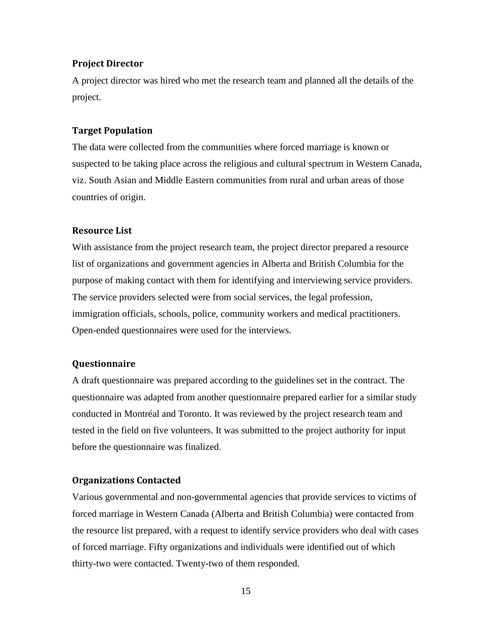#### <span id="page-15-0"></span>**Project Director**

A project director was hired who met the research team and planned all the details of the project.

#### <span id="page-15-1"></span>**Target Population**

The data were collected from the communities where forced marriage is known or suspected to be taking place across the religious and cultural spectrum in Western Canada, viz. South Asian and Middle Eastern communities from rural and urban areas of those countries of origin.

#### <span id="page-15-2"></span>**Resource List**

With assistance from the project research team, the project director prepared a resource list of organizations and government agencies in Alberta and British Columbia for the purpose of making contact with them for identifying and interviewing service providers. The service providers selected were from social services, the legal profession, immigration officials, schools, police, community workers and medical practitioners. Open-ended questionnaires were used for the interviews.

### <span id="page-15-3"></span>**Questionnaire**

A draft questionnaire was prepared according to the guidelines set in the contract. The questionnaire was adapted from another questionnaire prepared earlier for a similar study conducted in Montréal and Toronto. It was reviewed by the project research team and tested in the field on five volunteers. It was submitted to the project authority for input before the questionnaire was finalized.

#### <span id="page-15-4"></span>**Organizations Contacted**

Various governmental and non-governmental agencies that provide services to victims of forced marriage in Western Canada (Alberta and British Columbia) were contacted from the resource list prepared, with a request to identify service providers who deal with cases of forced marriage. Fifty organizations and individuals were identified out of which thirty-two were contacted. Twenty-two of them responded.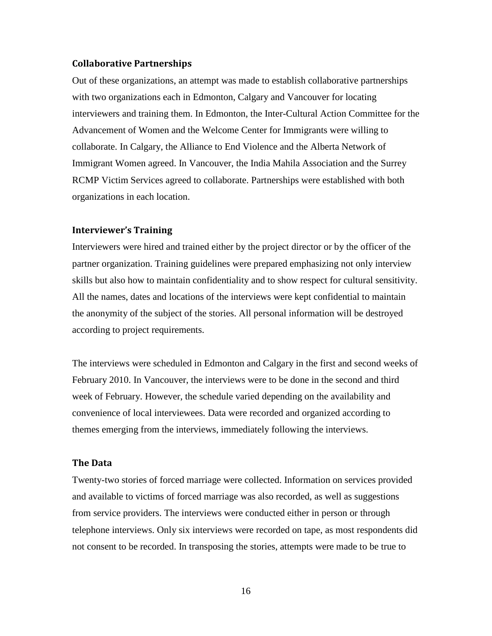#### <span id="page-16-0"></span>**Collaborative Partnerships**

Out of these organizations, an attempt was made to establish collaborative partnerships with two organizations each in Edmonton, Calgary and Vancouver for locating interviewers and training them. In Edmonton, the Inter-Cultural Action Committee for the Advancement of Women and the Welcome Center for Immigrants were willing to collaborate. In Calgary, the Alliance to End Violence and the Alberta Network of Immigrant Women agreed. In Vancouver, the India Mahila Association and the Surrey RCMP Victim Services agreed to collaborate. Partnerships were established with both organizations in each location.

#### <span id="page-16-1"></span>**Interviewer's Training**

Interviewers were hired and trained either by the project director or by the officer of the partner organization. Training guidelines were prepared emphasizing not only interview skills but also how to maintain confidentiality and to show respect for cultural sensitivity. All the names, dates and locations of the interviews were kept confidential to maintain the anonymity of the subject of the stories. All personal information will be destroyed according to project requirements.

The interviews were scheduled in Edmonton and Calgary in the first and second weeks of February 2010. In Vancouver, the interviews were to be done in the second and third week of February. However, the schedule varied depending on the availability and convenience of local interviewees. Data were recorded and organized according to themes emerging from the interviews, immediately following the interviews.

#### <span id="page-16-2"></span>**The Data**

Twenty-two stories of forced marriage were collected. Information on services provided and available to victims of forced marriage was also recorded, as well as suggestions from service providers. The interviews were conducted either in person or through telephone interviews. Only six interviews were recorded on tape, as most respondents did not consent to be recorded. In transposing the stories, attempts were made to be true to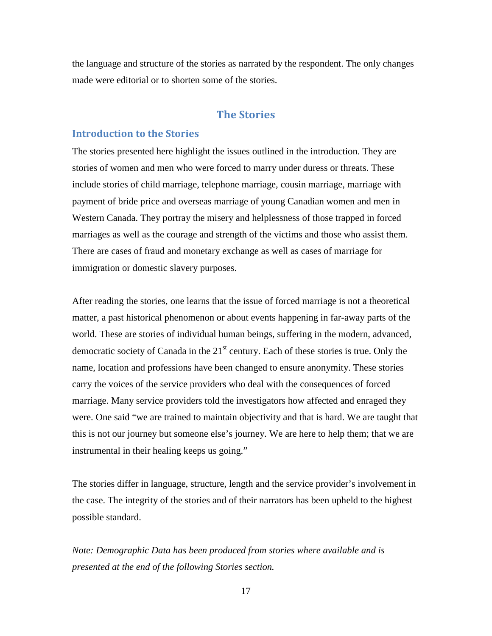the language and structure of the stories as narrated by the respondent. The only changes made were editorial or to shorten some of the stories.

# **The Stories**

## <span id="page-17-1"></span><span id="page-17-0"></span>**Introduction to the Stories**

The stories presented here highlight the issues outlined in the introduction. They are stories of women and men who were forced to marry under duress or threats. These include stories of child marriage, telephone marriage, cousin marriage, marriage with payment of bride price and overseas marriage of young Canadian women and men in Western Canada. They portray the misery and helplessness of those trapped in forced marriages as well as the courage and strength of the victims and those who assist them. There are cases of fraud and monetary exchange as well as cases of marriage for immigration or domestic slavery purposes.

After reading the stories, one learns that the issue of forced marriage is not a theoretical matter, a past historical phenomenon or about events happening in far-away parts of the world. These are stories of individual human beings, suffering in the modern, advanced, democratic society of Canada in the  $21<sup>st</sup>$  century. Each of these stories is true. Only the name, location and professions have been changed to ensure anonymity. These stories carry the voices of the service providers who deal with the consequences of forced marriage. Many service providers told the investigators how affected and enraged they were. One said "we are trained to maintain objectivity and that is hard. We are taught that this is not our journey but someone else's journey. We are here to help them; that we are instrumental in their healing keeps us going."

The stories differ in language, structure, length and the service provider's involvement in the case. The integrity of the stories and of their narrators has been upheld to the highest possible standard.

*Note: Demographic Data has been produced from stories where available and is presented at the end of the following Stories section.*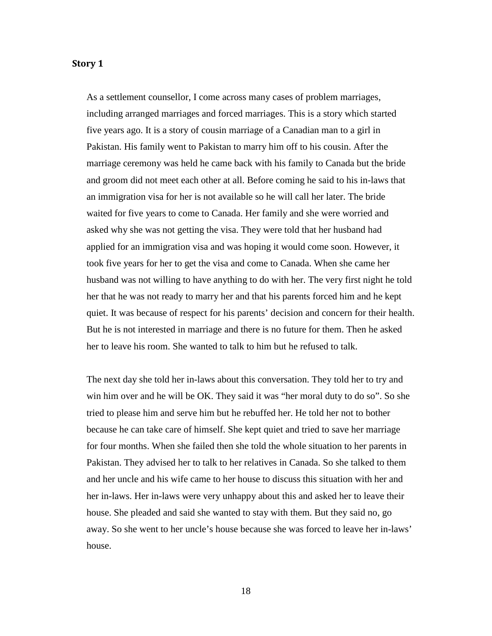#### <span id="page-18-0"></span>**Story 1**

As a settlement counsellor, I come across many cases of problem marriages, including arranged marriages and forced marriages. This is a story which started five years ago. It is a story of cousin marriage of a Canadian man to a girl in Pakistan. His family went to Pakistan to marry him off to his cousin. After the marriage ceremony was held he came back with his family to Canada but the bride and groom did not meet each other at all. Before coming he said to his in-laws that an immigration visa for her is not available so he will call her later. The bride waited for five years to come to Canada. Her family and she were worried and asked why she was not getting the visa. They were told that her husband had applied for an immigration visa and was hoping it would come soon. However, it took five years for her to get the visa and come to Canada. When she came her husband was not willing to have anything to do with her. The very first night he told her that he was not ready to marry her and that his parents forced him and he kept quiet. It was because of respect for his parents' decision and concern for their health. But he is not interested in marriage and there is no future for them. Then he asked her to leave his room. She wanted to talk to him but he refused to talk.

The next day she told her in-laws about this conversation. They told her to try and win him over and he will be OK. They said it was "her moral duty to do so". So she tried to please him and serve him but he rebuffed her. He told her not to bother because he can take care of himself. She kept quiet and tried to save her marriage for four months. When she failed then she told the whole situation to her parents in Pakistan. They advised her to talk to her relatives in Canada. So she talked to them and her uncle and his wife came to her house to discuss this situation with her and her in-laws. Her in-laws were very unhappy about this and asked her to leave their house. She pleaded and said she wanted to stay with them. But they said no, go away. So she went to her uncle's house because she was forced to leave her in-laws' house.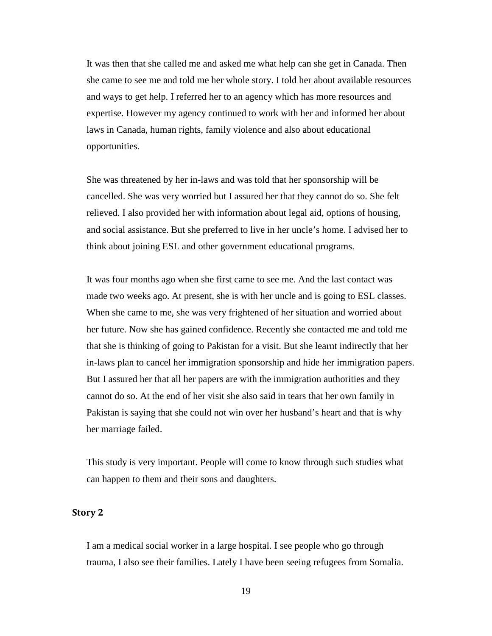It was then that she called me and asked me what help can she get in Canada. Then she came to see me and told me her whole story. I told her about available resources and ways to get help. I referred her to an agency which has more resources and expertise. However my agency continued to work with her and informed her about laws in Canada, human rights, family violence and also about educational opportunities.

She was threatened by her in-laws and was told that her sponsorship will be cancelled. She was very worried but I assured her that they cannot do so. She felt relieved. I also provided her with information about legal aid, options of housing, and social assistance. But she preferred to live in her uncle's home. I advised her to think about joining ESL and other government educational programs.

It was four months ago when she first came to see me. And the last contact was made two weeks ago. At present, she is with her uncle and is going to ESL classes. When she came to me, she was very frightened of her situation and worried about her future. Now she has gained confidence. Recently she contacted me and told me that she is thinking of going to Pakistan for a visit. But she learnt indirectly that her in-laws plan to cancel her immigration sponsorship and hide her immigration papers. But I assured her that all her papers are with the immigration authorities and they cannot do so. At the end of her visit she also said in tears that her own family in Pakistan is saying that she could not win over her husband's heart and that is why her marriage failed.

This study is very important. People will come to know through such studies what can happen to them and their sons and daughters.

### <span id="page-19-0"></span>**Story 2**

I am a medical social worker in a large hospital. I see people who go through trauma, I also see their families. Lately I have been seeing refugees from Somalia.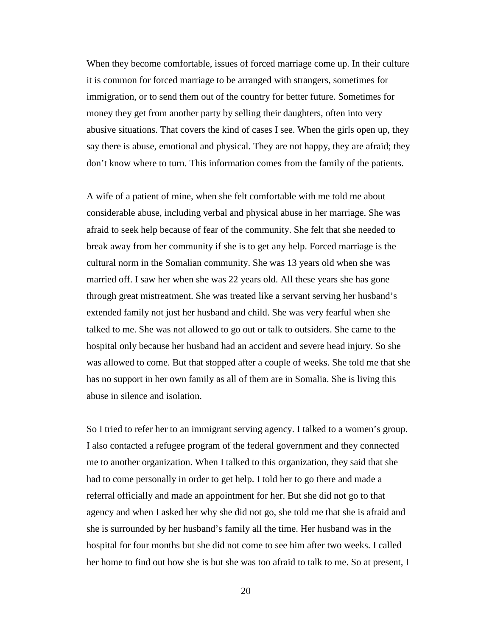When they become comfortable, issues of forced marriage come up. In their culture it is common for forced marriage to be arranged with strangers, sometimes for immigration, or to send them out of the country for better future. Sometimes for money they get from another party by selling their daughters, often into very abusive situations. That covers the kind of cases I see. When the girls open up, they say there is abuse, emotional and physical. They are not happy, they are afraid; they don't know where to turn. This information comes from the family of the patients.

A wife of a patient of mine, when she felt comfortable with me told me about considerable abuse, including verbal and physical abuse in her marriage. She was afraid to seek help because of fear of the community. She felt that she needed to break away from her community if she is to get any help. Forced marriage is the cultural norm in the Somalian community. She was 13 years old when she was married off. I saw her when she was 22 years old. All these years she has gone through great mistreatment. She was treated like a servant serving her husband's extended family not just her husband and child. She was very fearful when she talked to me. She was not allowed to go out or talk to outsiders. She came to the hospital only because her husband had an accident and severe head injury. So she was allowed to come. But that stopped after a couple of weeks. She told me that she has no support in her own family as all of them are in Somalia. She is living this abuse in silence and isolation.

So I tried to refer her to an immigrant serving agency. I talked to a women's group. I also contacted a refugee program of the federal government and they connected me to another organization. When I talked to this organization, they said that she had to come personally in order to get help. I told her to go there and made a referral officially and made an appointment for her. But she did not go to that agency and when I asked her why she did not go, she told me that she is afraid and she is surrounded by her husband's family all the time. Her husband was in the hospital for four months but she did not come to see him after two weeks. I called her home to find out how she is but she was too afraid to talk to me. So at present, I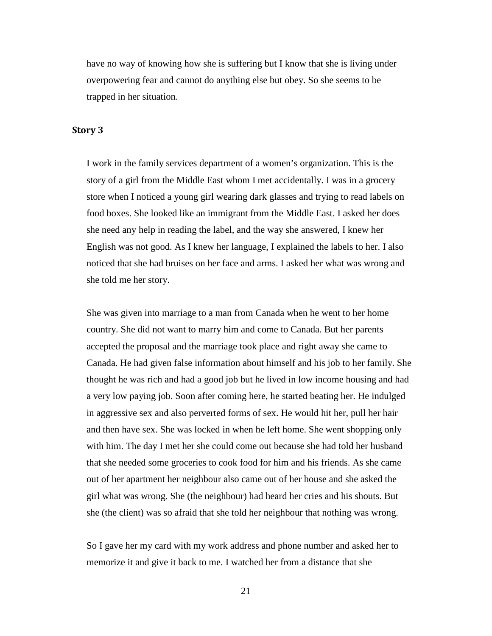have no way of knowing how she is suffering but I know that she is living under overpowering fear and cannot do anything else but obey. So she seems to be trapped in her situation.

### <span id="page-21-0"></span>**Story 3**

I work in the family services department of a women's organization. This is the story of a girl from the Middle East whom I met accidentally. I was in a grocery store when I noticed a young girl wearing dark glasses and trying to read labels on food boxes. She looked like an immigrant from the Middle East. I asked her does she need any help in reading the label, and the way she answered, I knew her English was not good. As I knew her language, I explained the labels to her. I also noticed that she had bruises on her face and arms. I asked her what was wrong and she told me her story.

She was given into marriage to a man from Canada when he went to her home country. She did not want to marry him and come to Canada. But her parents accepted the proposal and the marriage took place and right away she came to Canada. He had given false information about himself and his job to her family. She thought he was rich and had a good job but he lived in low income housing and had a very low paying job. Soon after coming here, he started beating her. He indulged in aggressive sex and also perverted forms of sex. He would hit her, pull her hair and then have sex. She was locked in when he left home. She went shopping only with him. The day I met her she could come out because she had told her husband that she needed some groceries to cook food for him and his friends. As she came out of her apartment her neighbour also came out of her house and she asked the girl what was wrong. She (the neighbour) had heard her cries and his shouts. But she (the client) was so afraid that she told her neighbour that nothing was wrong.

So I gave her my card with my work address and phone number and asked her to memorize it and give it back to me. I watched her from a distance that she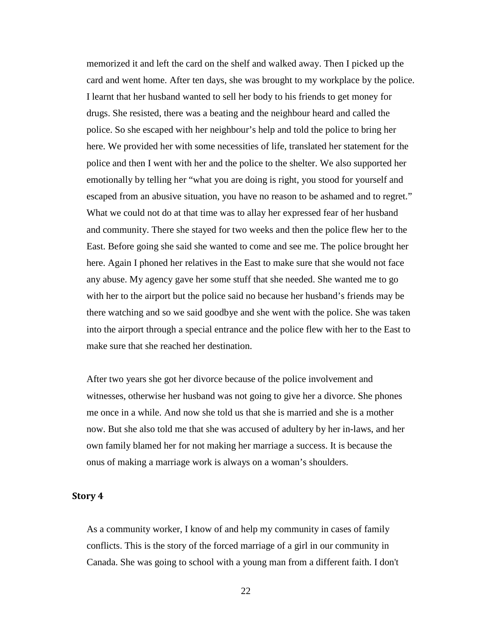memorized it and left the card on the shelf and walked away. Then I picked up the card and went home. After ten days, she was brought to my workplace by the police. I learnt that her husband wanted to sell her body to his friends to get money for drugs. She resisted, there was a beating and the neighbour heard and called the police. So she escaped with her neighbour's help and told the police to bring her here. We provided her with some necessities of life, translated her statement for the police and then I went with her and the police to the shelter. We also supported her emotionally by telling her "what you are doing is right, you stood for yourself and escaped from an abusive situation, you have no reason to be ashamed and to regret." What we could not do at that time was to allay her expressed fear of her husband and community. There she stayed for two weeks and then the police flew her to the East. Before going she said she wanted to come and see me. The police brought her here. Again I phoned her relatives in the East to make sure that she would not face any abuse. My agency gave her some stuff that she needed. She wanted me to go with her to the airport but the police said no because her husband's friends may be there watching and so we said goodbye and she went with the police. She was taken into the airport through a special entrance and the police flew with her to the East to make sure that she reached her destination.

After two years she got her divorce because of the police involvement and witnesses, otherwise her husband was not going to give her a divorce. She phones me once in a while. And now she told us that she is married and she is a mother now. But she also told me that she was accused of adultery by her in-laws, and her own family blamed her for not making her marriage a success. It is because the onus of making a marriage work is always on a woman's shoulders.

#### <span id="page-22-0"></span>**Story 4**

As a community worker, I know of and help my community in cases of family conflicts. This is the story of the forced marriage of a girl in our community in Canada. She was going to school with a young man from a different faith. I don't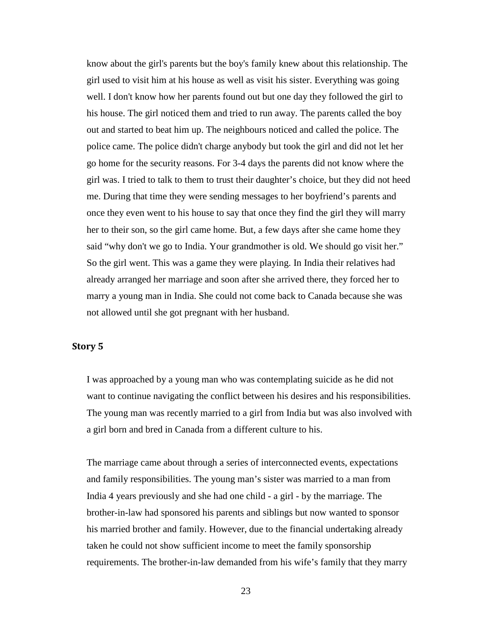know about the girl's parents but the boy's family knew about this relationship. The girl used to visit him at his house as well as visit his sister. Everything was going well. I don't know how her parents found out but one day they followed the girl to his house. The girl noticed them and tried to run away. The parents called the boy out and started to beat him up. The neighbours noticed and called the police. The police came. The police didn't charge anybody but took the girl and did not let her go home for the security reasons. For 3-4 days the parents did not know where the girl was. I tried to talk to them to trust their daughter's choice, but they did not heed me. During that time they were sending messages to her boyfriend's parents and once they even went to his house to say that once they find the girl they will marry her to their son, so the girl came home. But, a few days after she came home they said "why don't we go to India. Your grandmother is old. We should go visit her." So the girl went. This was a game they were playing. In India their relatives had already arranged her marriage and soon after she arrived there, they forced her to marry a young man in India. She could not come back to Canada because she was not allowed until she got pregnant with her husband.

#### <span id="page-23-0"></span>**Story 5**

I was approached by a young man who was contemplating suicide as he did not want to continue navigating the conflict between his desires and his responsibilities. The young man was recently married to a girl from India but was also involved with a girl born and bred in Canada from a different culture to his.

The marriage came about through a series of interconnected events, expectations and family responsibilities. The young man's sister was married to a man from India 4 years previously and she had one child - a girl - by the marriage. The brother-in-law had sponsored his parents and siblings but now wanted to sponsor his married brother and family. However, due to the financial undertaking already taken he could not show sufficient income to meet the family sponsorship requirements. The brother-in-law demanded from his wife's family that they marry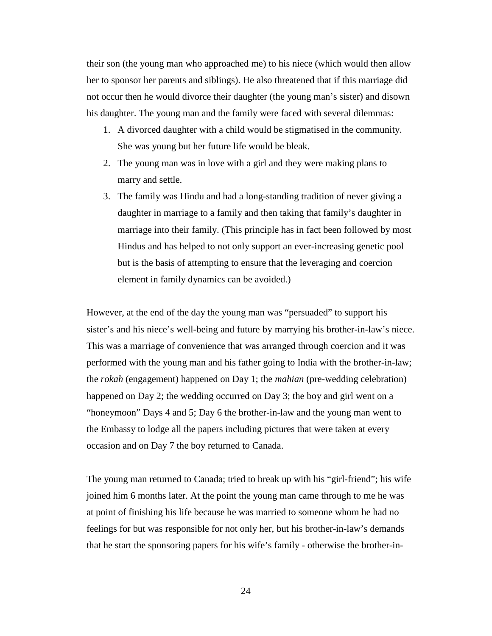their son (the young man who approached me) to his niece (which would then allow her to sponsor her parents and siblings). He also threatened that if this marriage did not occur then he would divorce their daughter (the young man's sister) and disown his daughter. The young man and the family were faced with several dilemmas:

- 1. A divorced daughter with a child would be stigmatised in the community. She was young but her future life would be bleak.
- 2. The young man was in love with a girl and they were making plans to marry and settle.
- 3. The family was Hindu and had a long-standing tradition of never giving a daughter in marriage to a family and then taking that family's daughter in marriage into their family. (This principle has in fact been followed by most Hindus and has helped to not only support an ever-increasing genetic pool but is the basis of attempting to ensure that the leveraging and coercion element in family dynamics can be avoided.)

However, at the end of the day the young man was "persuaded" to support his sister's and his niece's well-being and future by marrying his brother-in-law's niece. This was a marriage of convenience that was arranged through coercion and it was performed with the young man and his father going to India with the brother-in-law; the *rokah* (engagement) happened on Day 1; the *mahian* (pre-wedding celebration) happened on Day 2; the wedding occurred on Day 3; the boy and girl went on a "honeymoon" Days 4 and 5; Day 6 the brother-in-law and the young man went to the Embassy to lodge all the papers including pictures that were taken at every occasion and on Day 7 the boy returned to Canada.

The young man returned to Canada; tried to break up with his "girl-friend"; his wife joined him 6 months later. At the point the young man came through to me he was at point of finishing his life because he was married to someone whom he had no feelings for but was responsible for not only her, but his brother-in-law's demands that he start the sponsoring papers for his wife's family - otherwise the brother-in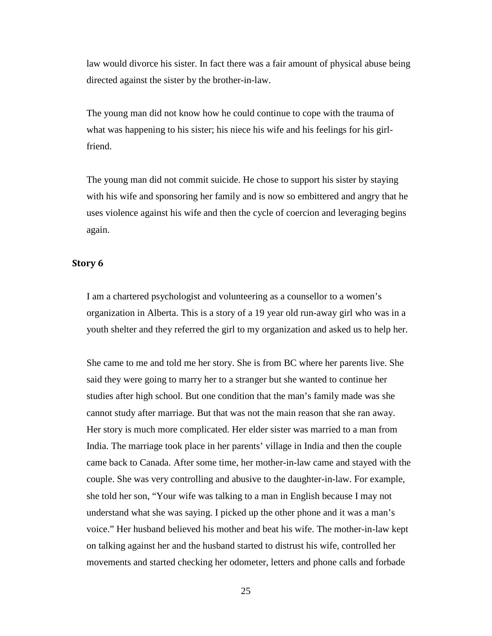law would divorce his sister. In fact there was a fair amount of physical abuse being directed against the sister by the brother-in-law.

The young man did not know how he could continue to cope with the trauma of what was happening to his sister; his niece his wife and his feelings for his girlfriend.

The young man did not commit suicide. He chose to support his sister by staying with his wife and sponsoring her family and is now so embittered and angry that he uses violence against his wife and then the cycle of coercion and leveraging begins again.

#### <span id="page-25-0"></span>**Story 6**

I am a chartered psychologist and volunteering as a counsellor to a women's organization in Alberta. This is a story of a 19 year old run-away girl who was in a youth shelter and they referred the girl to my organization and asked us to help her.

She came to me and told me her story. She is from BC where her parents live. She said they were going to marry her to a stranger but she wanted to continue her studies after high school. But one condition that the man's family made was she cannot study after marriage. But that was not the main reason that she ran away. Her story is much more complicated. Her elder sister was married to a man from India. The marriage took place in her parents' village in India and then the couple came back to Canada. After some time, her mother-in-law came and stayed with the couple. She was very controlling and abusive to the daughter-in-law. For example, she told her son, "Your wife was talking to a man in English because I may not understand what she was saying. I picked up the other phone and it was a man's voice." Her husband believed his mother and beat his wife. The mother-in-law kept on talking against her and the husband started to distrust his wife, controlled her movements and started checking her odometer, letters and phone calls and forbade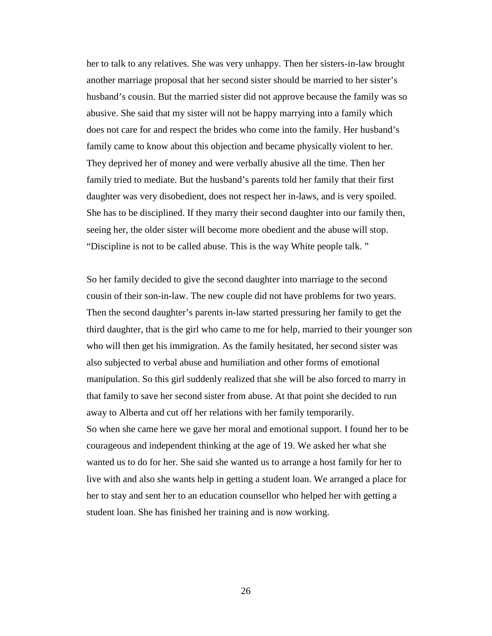her to talk to any relatives. She was very unhappy. Then her sisters-in-law brought another marriage proposal that her second sister should be married to her sister's husband's cousin. But the married sister did not approve because the family was so abusive. She said that my sister will not be happy marrying into a family which does not care for and respect the brides who come into the family. Her husband's family came to know about this objection and became physically violent to her. They deprived her of money and were verbally abusive all the time. Then her family tried to mediate. But the husband's parents told her family that their first daughter was very disobedient, does not respect her in-laws, and is very spoiled. She has to be disciplined. If they marry their second daughter into our family then, seeing her, the older sister will become more obedient and the abuse will stop. "Discipline is not to be called abuse. This is the way White people talk. "

So her family decided to give the second daughter into marriage to the second cousin of their son-in-law. The new couple did not have problems for two years. Then the second daughter's parents in-law started pressuring her family to get the third daughter, that is the girl who came to me for help, married to their younger son who will then get his immigration. As the family hesitated, her second sister was also subjected to verbal abuse and humiliation and other forms of emotional manipulation. So this girl suddenly realized that she will be also forced to marry in that family to save her second sister from abuse. At that point she decided to run away to Alberta and cut off her relations with her family temporarily. So when she came here we gave her moral and emotional support. I found her to be courageous and independent thinking at the age of 19. We asked her what she wanted us to do for her. She said she wanted us to arrange a host family for her to live with and also she wants help in getting a student loan. We arranged a place for her to stay and sent her to an education counsellor who helped her with getting a student loan. She has finished her training and is now working.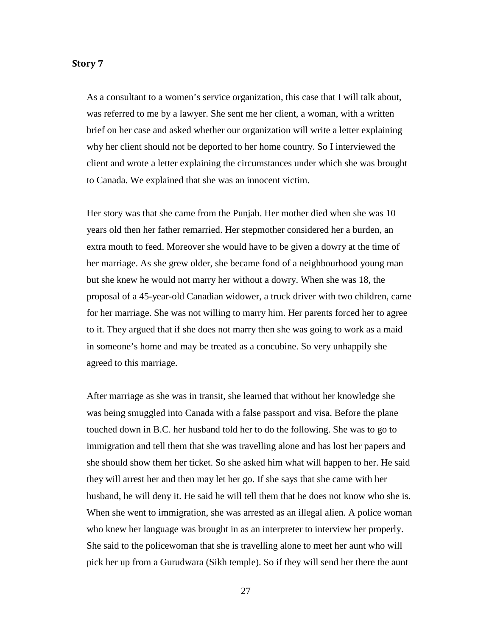#### <span id="page-27-0"></span>**Story 7**

As a consultant to a women's service organization, this case that I will talk about, was referred to me by a lawyer. She sent me her client, a woman, with a written brief on her case and asked whether our organization will write a letter explaining why her client should not be deported to her home country. So I interviewed the client and wrote a letter explaining the circumstances under which she was brought to Canada. We explained that she was an innocent victim.

Her story was that she came from the Punjab. Her mother died when she was 10 years old then her father remarried. Her stepmother considered her a burden, an extra mouth to feed. Moreover she would have to be given a dowry at the time of her marriage. As she grew older, she became fond of a neighbourhood young man but she knew he would not marry her without a dowry. When she was 18, the proposal of a 45-year-old Canadian widower, a truck driver with two children, came for her marriage. She was not willing to marry him. Her parents forced her to agree to it. They argued that if she does not marry then she was going to work as a maid in someone's home and may be treated as a concubine. So very unhappily she agreed to this marriage.

After marriage as she was in transit, she learned that without her knowledge she was being smuggled into Canada with a false passport and visa. Before the plane touched down in B.C. her husband told her to do the following. She was to go to immigration and tell them that she was travelling alone and has lost her papers and she should show them her ticket. So she asked him what will happen to her. He said they will arrest her and then may let her go. If she says that she came with her husband, he will deny it. He said he will tell them that he does not know who she is. When she went to immigration, she was arrested as an illegal alien. A police woman who knew her language was brought in as an interpreter to interview her properly. She said to the policewoman that she is travelling alone to meet her aunt who will pick her up from a Gurudwara (Sikh temple). So if they will send her there the aunt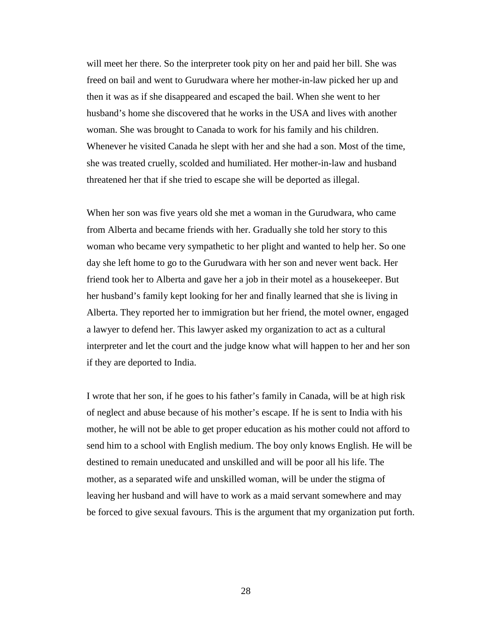will meet her there. So the interpreter took pity on her and paid her bill. She was freed on bail and went to Gurudwara where her mother-in-law picked her up and then it was as if she disappeared and escaped the bail. When she went to her husband's home she discovered that he works in the USA and lives with another woman. She was brought to Canada to work for his family and his children. Whenever he visited Canada he slept with her and she had a son. Most of the time, she was treated cruelly, scolded and humiliated. Her mother-in-law and husband threatened her that if she tried to escape she will be deported as illegal.

When her son was five years old she met a woman in the Gurudwara, who came from Alberta and became friends with her. Gradually she told her story to this woman who became very sympathetic to her plight and wanted to help her. So one day she left home to go to the Gurudwara with her son and never went back. Her friend took her to Alberta and gave her a job in their motel as a housekeeper. But her husband's family kept looking for her and finally learned that she is living in Alberta. They reported her to immigration but her friend, the motel owner, engaged a lawyer to defend her. This lawyer asked my organization to act as a cultural interpreter and let the court and the judge know what will happen to her and her son if they are deported to India.

I wrote that her son, if he goes to his father's family in Canada, will be at high risk of neglect and abuse because of his mother's escape. If he is sent to India with his mother, he will not be able to get proper education as his mother could not afford to send him to a school with English medium. The boy only knows English. He will be destined to remain uneducated and unskilled and will be poor all his life. The mother, as a separated wife and unskilled woman, will be under the stigma of leaving her husband and will have to work as a maid servant somewhere and may be forced to give sexual favours. This is the argument that my organization put forth.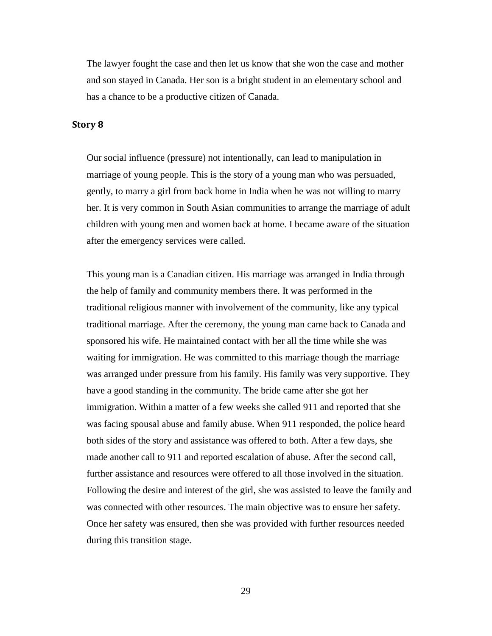The lawyer fought the case and then let us know that she won the case and mother and son stayed in Canada. Her son is a bright student in an elementary school and has a chance to be a productive citizen of Canada.

#### <span id="page-29-0"></span>**Story 8**

Our social influence (pressure) not intentionally, can lead to manipulation in marriage of young people. This is the story of a young man who was persuaded, gently, to marry a girl from back home in India when he was not willing to marry her. It is very common in South Asian communities to arrange the marriage of adult children with young men and women back at home. I became aware of the situation after the emergency services were called.

This young man is a Canadian citizen. His marriage was arranged in India through the help of family and community members there. It was performed in the traditional religious manner with involvement of the community, like any typical traditional marriage. After the ceremony, the young man came back to Canada and sponsored his wife. He maintained contact with her all the time while she was waiting for immigration. He was committed to this marriage though the marriage was arranged under pressure from his family. His family was very supportive. They have a good standing in the community. The bride came after she got her immigration. Within a matter of a few weeks she called 911 and reported that she was facing spousal abuse and family abuse. When 911 responded, the police heard both sides of the story and assistance was offered to both. After a few days, she made another call to 911 and reported escalation of abuse. After the second call, further assistance and resources were offered to all those involved in the situation. Following the desire and interest of the girl, she was assisted to leave the family and was connected with other resources. The main objective was to ensure her safety. Once her safety was ensured, then she was provided with further resources needed during this transition stage.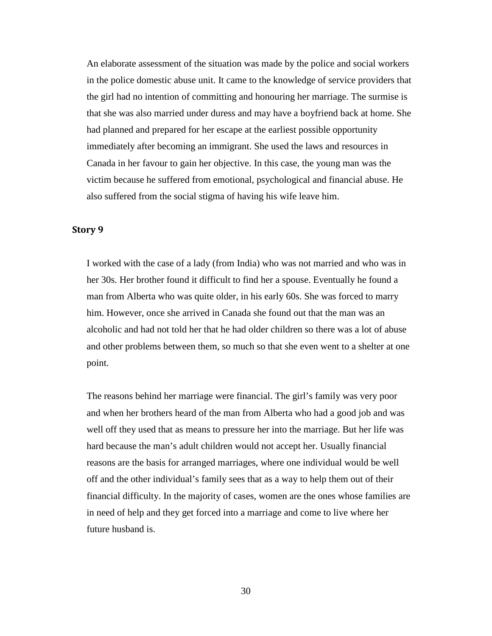An elaborate assessment of the situation was made by the police and social workers in the police domestic abuse unit. It came to the knowledge of service providers that the girl had no intention of committing and honouring her marriage. The surmise is that she was also married under duress and may have a boyfriend back at home. She had planned and prepared for her escape at the earliest possible opportunity immediately after becoming an immigrant. She used the laws and resources in Canada in her favour to gain her objective. In this case, the young man was the victim because he suffered from emotional, psychological and financial abuse. He also suffered from the social stigma of having his wife leave him.

## <span id="page-30-0"></span>**Story 9**

I worked with the case of a lady (from India) who was not married and who was in her 30s. Her brother found it difficult to find her a spouse. Eventually he found a man from Alberta who was quite older, in his early 60s. She was forced to marry him. However, once she arrived in Canada she found out that the man was an alcoholic and had not told her that he had older children so there was a lot of abuse and other problems between them, so much so that she even went to a shelter at one point.

The reasons behind her marriage were financial. The girl's family was very poor and when her brothers heard of the man from Alberta who had a good job and was well off they used that as means to pressure her into the marriage. But her life was hard because the man's adult children would not accept her. Usually financial reasons are the basis for arranged marriages, where one individual would be well off and the other individual's family sees that as a way to help them out of their financial difficulty. In the majority of cases, women are the ones whose families are in need of help and they get forced into a marriage and come to live where her future husband is.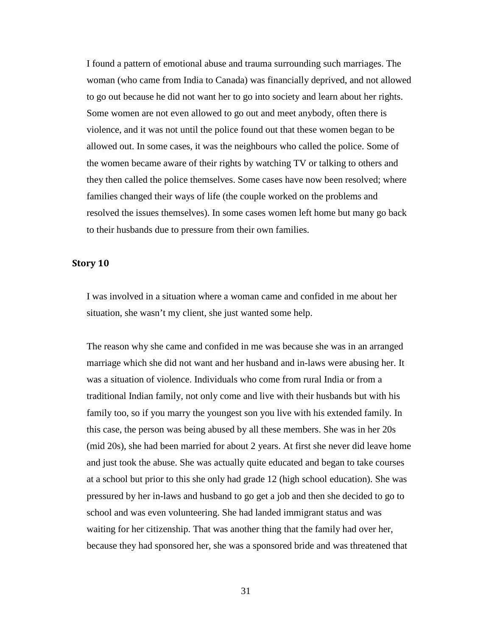I found a pattern of emotional abuse and trauma surrounding such marriages. The woman (who came from India to Canada) was financially deprived, and not allowed to go out because he did not want her to go into society and learn about her rights. Some women are not even allowed to go out and meet anybody, often there is violence, and it was not until the police found out that these women began to be allowed out. In some cases, it was the neighbours who called the police. Some of the women became aware of their rights by watching TV or talking to others and they then called the police themselves. Some cases have now been resolved; where families changed their ways of life (the couple worked on the problems and resolved the issues themselves). In some cases women left home but many go back to their husbands due to pressure from their own families.

#### <span id="page-31-0"></span>**Story 10**

I was involved in a situation where a woman came and confided in me about her situation, she wasn't my client, she just wanted some help.

The reason why she came and confided in me was because she was in an arranged marriage which she did not want and her husband and in-laws were abusing her. It was a situation of violence. Individuals who come from rural India or from a traditional Indian family, not only come and live with their husbands but with his family too, so if you marry the youngest son you live with his extended family. In this case, the person was being abused by all these members. She was in her 20s (mid 20s), she had been married for about 2 years. At first she never did leave home and just took the abuse. She was actually quite educated and began to take courses at a school but prior to this she only had grade 12 (high school education). She was pressured by her in-laws and husband to go get a job and then she decided to go to school and was even volunteering. She had landed immigrant status and was waiting for her citizenship. That was another thing that the family had over her, because they had sponsored her, she was a sponsored bride and was threatened that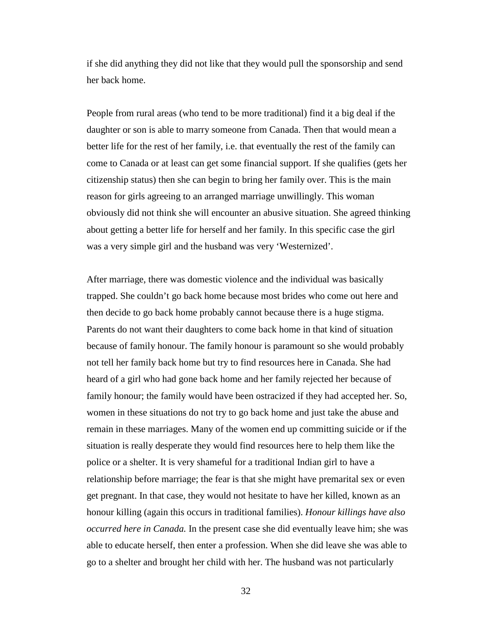if she did anything they did not like that they would pull the sponsorship and send her back home.

People from rural areas (who tend to be more traditional) find it a big deal if the daughter or son is able to marry someone from Canada. Then that would mean a better life for the rest of her family, i.e. that eventually the rest of the family can come to Canada or at least can get some financial support. If she qualifies (gets her citizenship status) then she can begin to bring her family over. This is the main reason for girls agreeing to an arranged marriage unwillingly. This woman obviously did not think she will encounter an abusive situation. She agreed thinking about getting a better life for herself and her family. In this specific case the girl was a very simple girl and the husband was very 'Westernized'.

After marriage, there was domestic violence and the individual was basically trapped. She couldn't go back home because most brides who come out here and then decide to go back home probably cannot because there is a huge stigma. Parents do not want their daughters to come back home in that kind of situation because of family honour. The family honour is paramount so she would probably not tell her family back home but try to find resources here in Canada. She had heard of a girl who had gone back home and her family rejected her because of family honour; the family would have been ostracized if they had accepted her. So, women in these situations do not try to go back home and just take the abuse and remain in these marriages. Many of the women end up committing suicide or if the situation is really desperate they would find resources here to help them like the police or a shelter. It is very shameful for a traditional Indian girl to have a relationship before marriage; the fear is that she might have premarital sex or even get pregnant. In that case, they would not hesitate to have her killed, known as an honour killing (again this occurs in traditional families). *Honour killings have also occurred here in Canada.* In the present case she did eventually leave him; she was able to educate herself, then enter a profession. When she did leave she was able to go to a shelter and brought her child with her. The husband was not particularly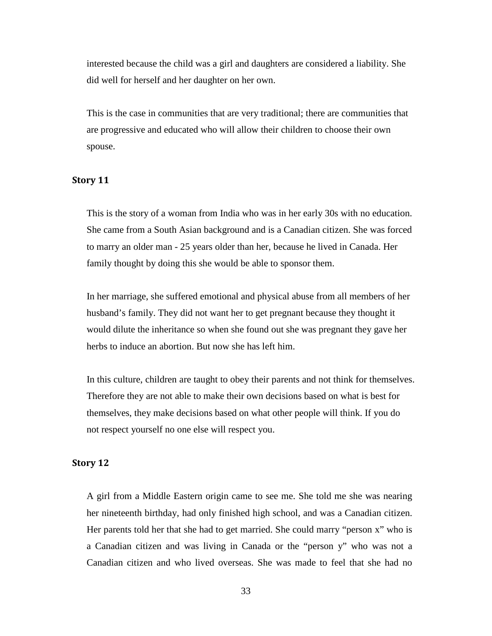interested because the child was a girl and daughters are considered a liability. She did well for herself and her daughter on her own.

This is the case in communities that are very traditional; there are communities that are progressive and educated who will allow their children to choose their own spouse.

#### <span id="page-33-0"></span>**Story 11**

This is the story of a woman from India who was in her early 30s with no education. She came from a South Asian background and is a Canadian citizen. She was forced to marry an older man - 25 years older than her, because he lived in Canada. Her family thought by doing this she would be able to sponsor them.

In her marriage, she suffered emotional and physical abuse from all members of her husband's family. They did not want her to get pregnant because they thought it would dilute the inheritance so when she found out she was pregnant they gave her herbs to induce an abortion. But now she has left him.

In this culture, children are taught to obey their parents and not think for themselves. Therefore they are not able to make their own decisions based on what is best for themselves, they make decisions based on what other people will think. If you do not respect yourself no one else will respect you.

#### <span id="page-33-1"></span>**Story 12**

A girl from a Middle Eastern origin came to see me. She told me she was nearing her nineteenth birthday, had only finished high school, and was a Canadian citizen. Her parents told her that she had to get married. She could marry "person x" who is a Canadian citizen and was living in Canada or the "person y" who was not a Canadian citizen and who lived overseas. She was made to feel that she had no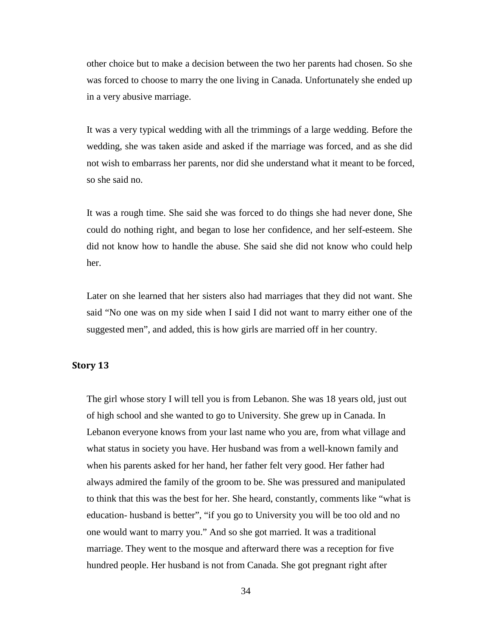other choice but to make a decision between the two her parents had chosen. So she was forced to choose to marry the one living in Canada. Unfortunately she ended up in a very abusive marriage.

It was a very typical wedding with all the trimmings of a large wedding. Before the wedding, she was taken aside and asked if the marriage was forced, and as she did not wish to embarrass her parents, nor did she understand what it meant to be forced, so she said no.

It was a rough time. She said she was forced to do things she had never done, She could do nothing right, and began to lose her confidence, and her self-esteem. She did not know how to handle the abuse. She said she did not know who could help her.

Later on she learned that her sisters also had marriages that they did not want. She said "No one was on my side when I said I did not want to marry either one of the suggested men", and added, this is how girls are married off in her country.

#### <span id="page-34-0"></span>**Story 13**

The girl whose story I will tell you is from Lebanon. She was 18 years old, just out of high school and she wanted to go to University. She grew up in Canada. In Lebanon everyone knows from your last name who you are, from what village and what status in society you have. Her husband was from a well-known family and when his parents asked for her hand, her father felt very good. Her father had always admired the family of the groom to be. She was pressured and manipulated to think that this was the best for her. She heard, constantly, comments like "what is education- husband is better", "if you go to University you will be too old and no one would want to marry you." And so she got married. It was a traditional marriage. They went to the mosque and afterward there was a reception for five hundred people. Her husband is not from Canada. She got pregnant right after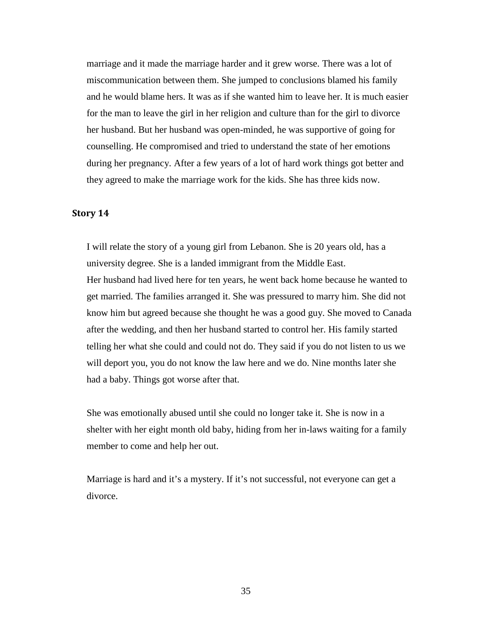marriage and it made the marriage harder and it grew worse. There was a lot of miscommunication between them. She jumped to conclusions blamed his family and he would blame hers. It was as if she wanted him to leave her. It is much easier for the man to leave the girl in her religion and culture than for the girl to divorce her husband. But her husband was open-minded, he was supportive of going for counselling. He compromised and tried to understand the state of her emotions during her pregnancy. After a few years of a lot of hard work things got better and they agreed to make the marriage work for the kids. She has three kids now.

## <span id="page-35-0"></span>**Story 14**

I will relate the story of a young girl from Lebanon. She is 20 years old, has a university degree. She is a landed immigrant from the Middle East. Her husband had lived here for ten years, he went back home because he wanted to get married. The families arranged it. She was pressured to marry him. She did not know him but agreed because she thought he was a good guy. She moved to Canada after the wedding, and then her husband started to control her. His family started telling her what she could and could not do. They said if you do not listen to us we will deport you, you do not know the law here and we do. Nine months later she had a baby. Things got worse after that.

She was emotionally abused until she could no longer take it. She is now in a shelter with her eight month old baby, hiding from her in-laws waiting for a family member to come and help her out.

Marriage is hard and it's a mystery. If it's not successful, not everyone can get a divorce.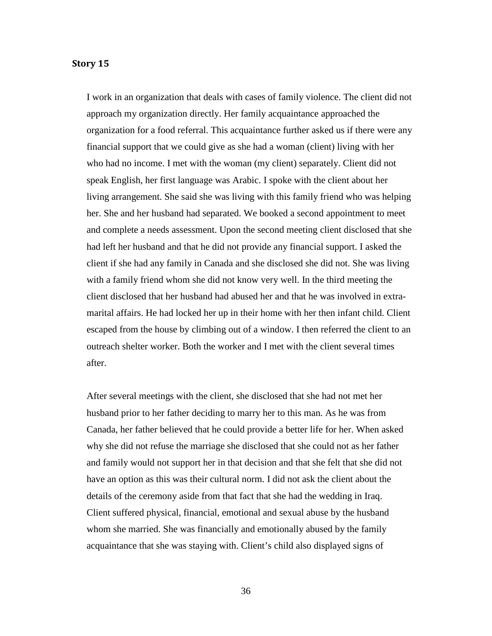#### <span id="page-36-0"></span>**Story 15**

I work in an organization that deals with cases of family violence. The client did not approach my organization directly. Her family acquaintance approached the organization for a food referral. This acquaintance further asked us if there were any financial support that we could give as she had a woman (client) living with her who had no income. I met with the woman (my client) separately. Client did not speak English, her first language was Arabic. I spoke with the client about her living arrangement. She said she was living with this family friend who was helping her. She and her husband had separated. We booked a second appointment to meet and complete a needs assessment. Upon the second meeting client disclosed that she had left her husband and that he did not provide any financial support. I asked the client if she had any family in Canada and she disclosed she did not. She was living with a family friend whom she did not know very well. In the third meeting the client disclosed that her husband had abused her and that he was involved in extramarital affairs. He had locked her up in their home with her then infant child. Client escaped from the house by climbing out of a window. I then referred the client to an outreach shelter worker. Both the worker and I met with the client several times after.

After several meetings with the client, she disclosed that she had not met her husband prior to her father deciding to marry her to this man. As he was from Canada, her father believed that he could provide a better life for her. When asked why she did not refuse the marriage she disclosed that she could not as her father and family would not support her in that decision and that she felt that she did not have an option as this was their cultural norm. I did not ask the client about the details of the ceremony aside from that fact that she had the wedding in Iraq. Client suffered physical, financial, emotional and sexual abuse by the husband whom she married. She was financially and emotionally abused by the family acquaintance that she was staying with. Client's child also displayed signs of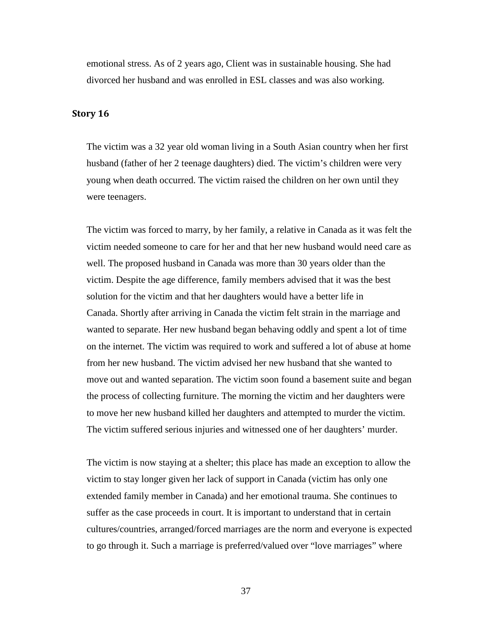emotional stress. As of 2 years ago, Client was in sustainable housing. She had divorced her husband and was enrolled in ESL classes and was also working.

#### <span id="page-37-0"></span>**Story 16**

The victim was a 32 year old woman living in a South Asian country when her first husband (father of her 2 teenage daughters) died. The victim's children were very young when death occurred. The victim raised the children on her own until they were teenagers.

The victim was forced to marry, by her family, a relative in Canada as it was felt the victim needed someone to care for her and that her new husband would need care as well. The proposed husband in Canada was more than 30 years older than the victim. Despite the age difference, family members advised that it was the best solution for the victim and that her daughters would have a better life in Canada. Shortly after arriving in Canada the victim felt strain in the marriage and wanted to separate. Her new husband began behaving oddly and spent a lot of time on the internet. The victim was required to work and suffered a lot of abuse at home from her new husband. The victim advised her new husband that she wanted to move out and wanted separation. The victim soon found a basement suite and began the process of collecting furniture. The morning the victim and her daughters were to move her new husband killed her daughters and attempted to murder the victim. The victim suffered serious injuries and witnessed one of her daughters' murder.

The victim is now staying at a shelter; this place has made an exception to allow the victim to stay longer given her lack of support in Canada (victim has only one extended family member in Canada) and her emotional trauma. She continues to suffer as the case proceeds in court. It is important to understand that in certain cultures/countries, arranged/forced marriages are the norm and everyone is expected to go through it. Such a marriage is preferred/valued over "love marriages" where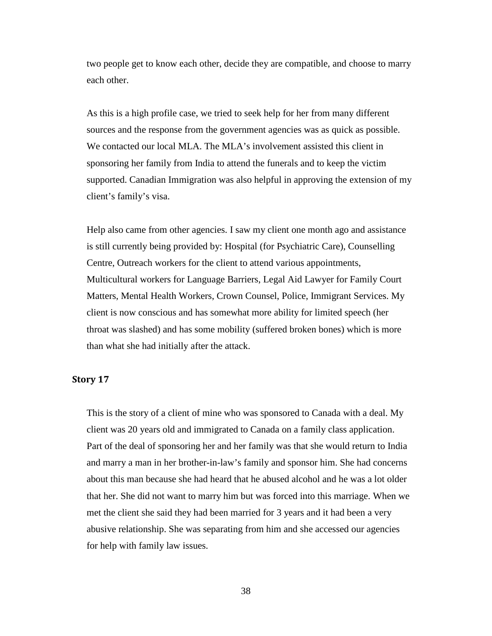two people get to know each other, decide they are compatible, and choose to marry each other.

As this is a high profile case, we tried to seek help for her from many different sources and the response from the government agencies was as quick as possible. We contacted our local MLA. The MLA's involvement assisted this client in sponsoring her family from India to attend the funerals and to keep the victim supported. Canadian Immigration was also helpful in approving the extension of my client's family's visa.

Help also came from other agencies. I saw my client one month ago and assistance is still currently being provided by: Hospital (for Psychiatric Care), Counselling Centre, Outreach workers for the client to attend various appointments, Multicultural workers for Language Barriers, Legal Aid Lawyer for Family Court Matters, Mental Health Workers, Crown Counsel, Police, Immigrant Services. My client is now conscious and has somewhat more ability for limited speech (her throat was slashed) and has some mobility (suffered broken bones) which is more than what she had initially after the attack.

#### <span id="page-38-0"></span>**Story 17**

This is the story of a client of mine who was sponsored to Canada with a deal. My client was 20 years old and immigrated to Canada on a family class application. Part of the deal of sponsoring her and her family was that she would return to India and marry a man in her brother-in-law's family and sponsor him. She had concerns about this man because she had heard that he abused alcohol and he was a lot older that her. She did not want to marry him but was forced into this marriage. When we met the client she said they had been married for 3 years and it had been a very abusive relationship. She was separating from him and she accessed our agencies for help with family law issues.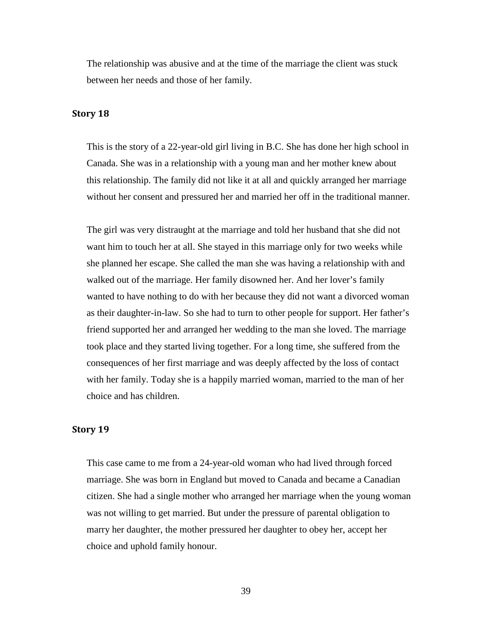The relationship was abusive and at the time of the marriage the client was stuck between her needs and those of her family.

#### <span id="page-39-0"></span>**Story 18**

This is the story of a 22-year-old girl living in B.C. She has done her high school in Canada. She was in a relationship with a young man and her mother knew about this relationship. The family did not like it at all and quickly arranged her marriage without her consent and pressured her and married her off in the traditional manner.

The girl was very distraught at the marriage and told her husband that she did not want him to touch her at all. She stayed in this marriage only for two weeks while she planned her escape. She called the man she was having a relationship with and walked out of the marriage. Her family disowned her. And her lover's family wanted to have nothing to do with her because they did not want a divorced woman as their daughter-in-law. So she had to turn to other people for support. Her father's friend supported her and arranged her wedding to the man she loved. The marriage took place and they started living together. For a long time, she suffered from the consequences of her first marriage and was deeply affected by the loss of contact with her family. Today she is a happily married woman, married to the man of her choice and has children.

#### <span id="page-39-1"></span>**Story 19**

This case came to me from a 24-year-old woman who had lived through forced marriage. She was born in England but moved to Canada and became a Canadian citizen. She had a single mother who arranged her marriage when the young woman was not willing to get married. But under the pressure of parental obligation to marry her daughter, the mother pressured her daughter to obey her, accept her choice and uphold family honour.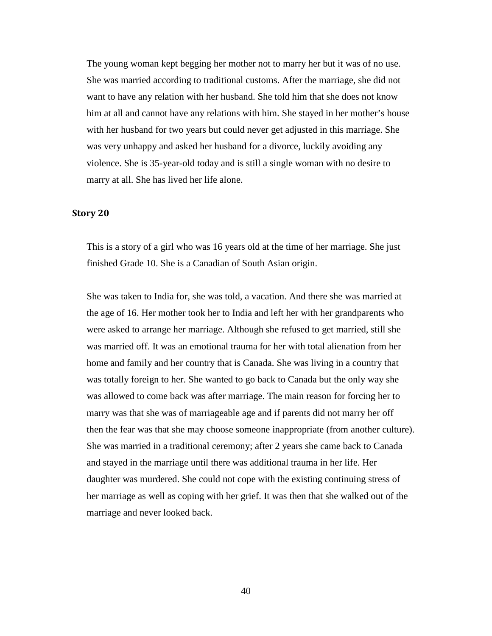The young woman kept begging her mother not to marry her but it was of no use. She was married according to traditional customs. After the marriage, she did not want to have any relation with her husband. She told him that she does not know him at all and cannot have any relations with him. She stayed in her mother's house with her husband for two years but could never get adjusted in this marriage. She was very unhappy and asked her husband for a divorce, luckily avoiding any violence. She is 35-year-old today and is still a single woman with no desire to marry at all. She has lived her life alone.

#### <span id="page-40-0"></span>**Story 20**

This is a story of a girl who was 16 years old at the time of her marriage. She just finished Grade 10. She is a Canadian of South Asian origin.

She was taken to India for, she was told, a vacation. And there she was married at the age of 16. Her mother took her to India and left her with her grandparents who were asked to arrange her marriage. Although she refused to get married, still she was married off. It was an emotional trauma for her with total alienation from her home and family and her country that is Canada. She was living in a country that was totally foreign to her. She wanted to go back to Canada but the only way she was allowed to come back was after marriage. The main reason for forcing her to marry was that she was of marriageable age and if parents did not marry her off then the fear was that she may choose someone inappropriate (from another culture). She was married in a traditional ceremony; after 2 years she came back to Canada and stayed in the marriage until there was additional trauma in her life. Her daughter was murdered. She could not cope with the existing continuing stress of her marriage as well as coping with her grief. It was then that she walked out of the marriage and never looked back.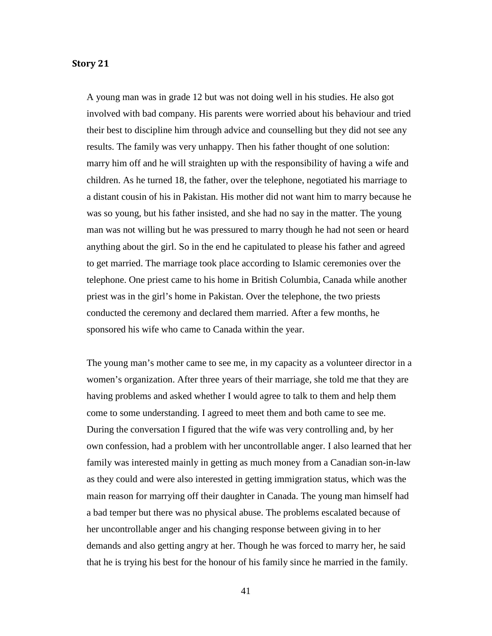#### <span id="page-41-0"></span>**Story 21**

A young man was in grade 12 but was not doing well in his studies. He also got involved with bad company. His parents were worried about his behaviour and tried their best to discipline him through advice and counselling but they did not see any results. The family was very unhappy. Then his father thought of one solution: marry him off and he will straighten up with the responsibility of having a wife and children. As he turned 18, the father, over the telephone, negotiated his marriage to a distant cousin of his in Pakistan. His mother did not want him to marry because he was so young, but his father insisted, and she had no say in the matter. The young man was not willing but he was pressured to marry though he had not seen or heard anything about the girl. So in the end he capitulated to please his father and agreed to get married. The marriage took place according to Islamic ceremonies over the telephone. One priest came to his home in British Columbia, Canada while another priest was in the girl's home in Pakistan. Over the telephone, the two priests conducted the ceremony and declared them married. After a few months, he sponsored his wife who came to Canada within the year.

The young man's mother came to see me, in my capacity as a volunteer director in a women's organization. After three years of their marriage, she told me that they are having problems and asked whether I would agree to talk to them and help them come to some understanding. I agreed to meet them and both came to see me. During the conversation I figured that the wife was very controlling and, by her own confession, had a problem with her uncontrollable anger. I also learned that her family was interested mainly in getting as much money from a Canadian son-in-law as they could and were also interested in getting immigration status, which was the main reason for marrying off their daughter in Canada. The young man himself had a bad temper but there was no physical abuse. The problems escalated because of her uncontrollable anger and his changing response between giving in to her demands and also getting angry at her. Though he was forced to marry her, he said that he is trying his best for the honour of his family since he married in the family.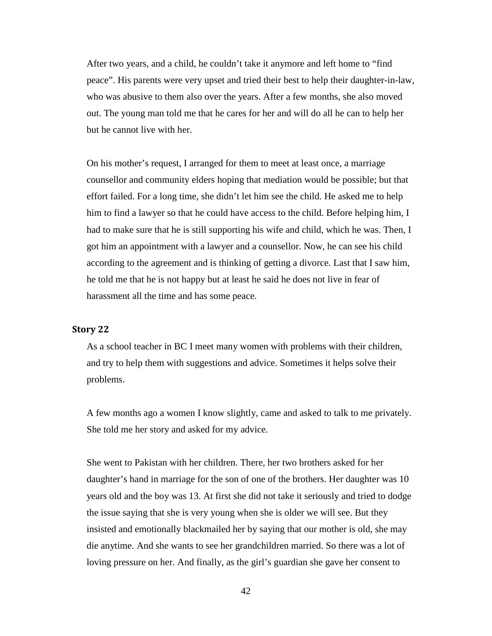After two years, and a child, he couldn't take it anymore and left home to "find peace". His parents were very upset and tried their best to help their daughter-in-law, who was abusive to them also over the years. After a few months, she also moved out. The young man told me that he cares for her and will do all he can to help her but he cannot live with her.

On his mother's request, I arranged for them to meet at least once, a marriage counsellor and community elders hoping that mediation would be possible; but that effort failed. For a long time, she didn't let him see the child. He asked me to help him to find a lawyer so that he could have access to the child. Before helping him, I had to make sure that he is still supporting his wife and child, which he was. Then, I got him an appointment with a lawyer and a counsellor. Now, he can see his child according to the agreement and is thinking of getting a divorce. Last that I saw him, he told me that he is not happy but at least he said he does not live in fear of harassment all the time and has some peace.

#### <span id="page-42-0"></span>**Story 22**

As a school teacher in BC I meet many women with problems with their children, and try to help them with suggestions and advice. Sometimes it helps solve their problems.

A few months ago a women I know slightly, came and asked to talk to me privately. She told me her story and asked for my advice.

She went to Pakistan with her children. There, her two brothers asked for her daughter's hand in marriage for the son of one of the brothers. Her daughter was 10 years old and the boy was 13. At first she did not take it seriously and tried to dodge the issue saying that she is very young when she is older we will see. But they insisted and emotionally blackmailed her by saying that our mother is old, she may die anytime. And she wants to see her grandchildren married. So there was a lot of loving pressure on her. And finally, as the girl's guardian she gave her consent to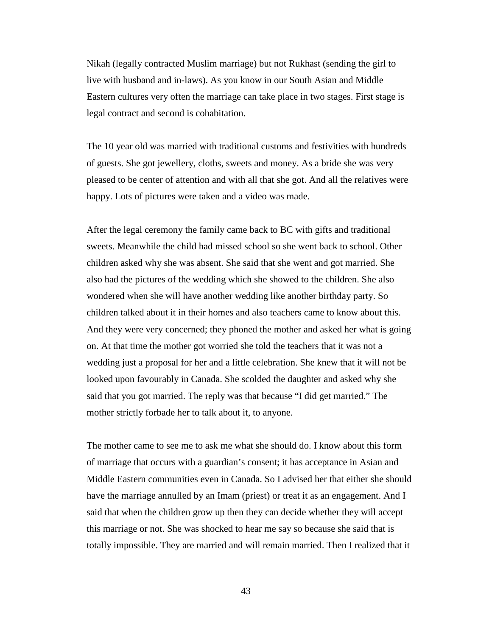Nikah (legally contracted Muslim marriage) but not Rukhast (sending the girl to live with husband and in-laws). As you know in our South Asian and Middle Eastern cultures very often the marriage can take place in two stages. First stage is legal contract and second is cohabitation.

The 10 year old was married with traditional customs and festivities with hundreds of guests. She got jewellery, cloths, sweets and money. As a bride she was very pleased to be center of attention and with all that she got. And all the relatives were happy. Lots of pictures were taken and a video was made.

After the legal ceremony the family came back to BC with gifts and traditional sweets. Meanwhile the child had missed school so she went back to school. Other children asked why she was absent. She said that she went and got married. She also had the pictures of the wedding which she showed to the children. She also wondered when she will have another wedding like another birthday party. So children talked about it in their homes and also teachers came to know about this. And they were very concerned; they phoned the mother and asked her what is going on. At that time the mother got worried she told the teachers that it was not a wedding just a proposal for her and a little celebration. She knew that it will not be looked upon favourably in Canada. She scolded the daughter and asked why she said that you got married. The reply was that because "I did get married." The mother strictly forbade her to talk about it, to anyone.

The mother came to see me to ask me what she should do. I know about this form of marriage that occurs with a guardian's consent; it has acceptance in Asian and Middle Eastern communities even in Canada. So I advised her that either she should have the marriage annulled by an Imam (priest) or treat it as an engagement. And I said that when the children grow up then they can decide whether they will accept this marriage or not. She was shocked to hear me say so because she said that is totally impossible. They are married and will remain married. Then I realized that it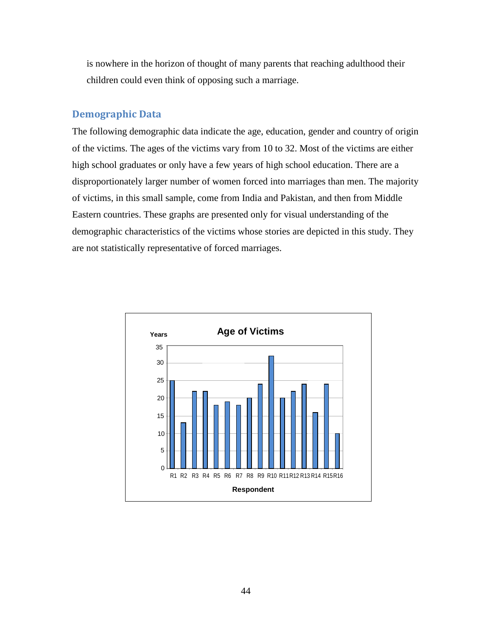is nowhere in the horizon of thought of many parents that reaching adulthood their children could even think of opposing such a marriage.

# <span id="page-44-0"></span>**Demographic Data**

The following demographic data indicate the age, education, gender and country of origin of the victims. The ages of the victims vary from 10 to 32. Most of the victims are either high school graduates or only have a few years of high school education. There are a disproportionately larger number of women forced into marriages than men. The majority of victims, in this small sample, come from India and Pakistan, and then from Middle Eastern countries. These graphs are presented only for visual understanding of the demographic characteristics of the victims whose stories are depicted in this study. They are not statistically representative of forced marriages.

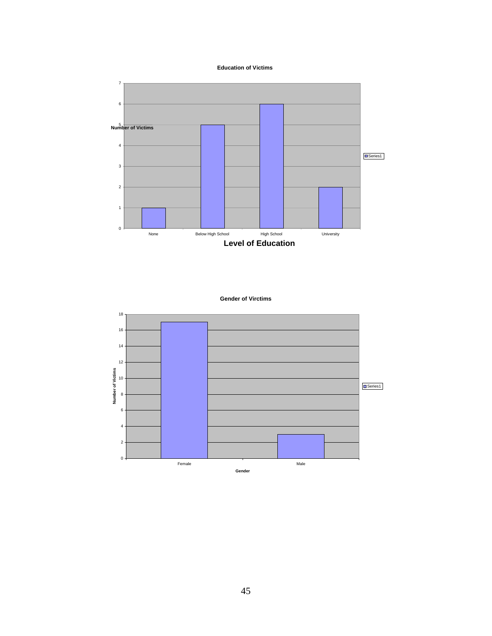**Education of Victims**



```
Gender of Virctims
```
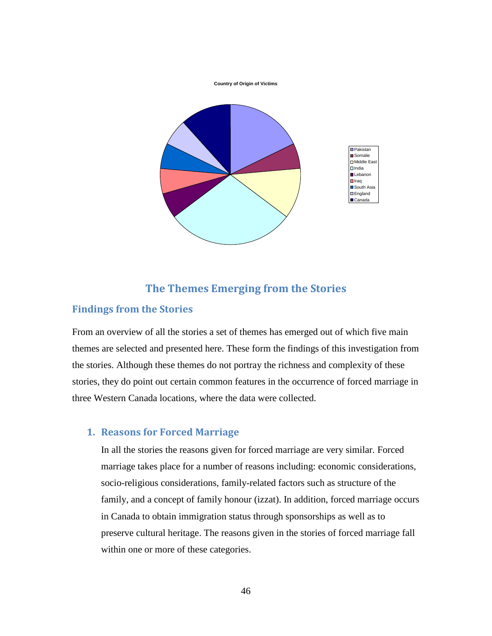**Country of Origin of Victims**



# **The Themes Emerging from the Stories**

## <span id="page-46-1"></span><span id="page-46-0"></span>**Findings from the Stories**

From an overview of all the stories a set of themes has emerged out of which five main themes are selected and presented here. These form the findings of this investigation from the stories. Although these themes do not portray the richness and complexity of these stories, they do point out certain common features in the occurrence of forced marriage in three Western Canada locations, where the data were collected.

# <span id="page-46-2"></span>**1. Reasons for Forced Marriage**

In all the stories the reasons given for forced marriage are very similar. Forced marriage takes place for a number of reasons including: economic considerations, socio-religious considerations, family-related factors such as structure of the family, and a concept of family honour (izzat). In addition, forced marriage occurs in Canada to obtain immigration status through sponsorships as well as to preserve cultural heritage. The reasons given in the stories of forced marriage fall within one or more of these categories.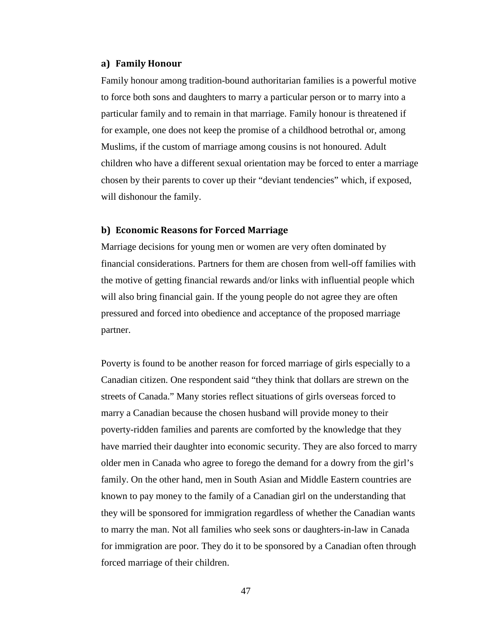#### <span id="page-47-0"></span>**a) Family Honour**

Family honour among tradition-bound authoritarian families is a powerful motive to force both sons and daughters to marry a particular person or to marry into a particular family and to remain in that marriage. Family honour is threatened if for example, one does not keep the promise of a childhood betrothal or, among Muslims, if the custom of marriage among cousins is not honoured. Adult children who have a different sexual orientation may be forced to enter a marriage chosen by their parents to cover up their "deviant tendencies" which, if exposed, will dishonour the family.

#### <span id="page-47-1"></span>**b) Economic Reasons for Forced Marriage**

Marriage decisions for young men or women are very often dominated by financial considerations. Partners for them are chosen from well-off families with the motive of getting financial rewards and/or links with influential people which will also bring financial gain. If the young people do not agree they are often pressured and forced into obedience and acceptance of the proposed marriage partner.

Poverty is found to be another reason for forced marriage of girls especially to a Canadian citizen. One respondent said "they think that dollars are strewn on the streets of Canada." Many stories reflect situations of girls overseas forced to marry a Canadian because the chosen husband will provide money to their poverty-ridden families and parents are comforted by the knowledge that they have married their daughter into economic security. They are also forced to marry older men in Canada who agree to forego the demand for a dowry from the girl's family. On the other hand, men in South Asian and Middle Eastern countries are known to pay money to the family of a Canadian girl on the understanding that they will be sponsored for immigration regardless of whether the Canadian wants to marry the man. Not all families who seek sons or daughters-in-law in Canada for immigration are poor. They do it to be sponsored by a Canadian often through forced marriage of their children.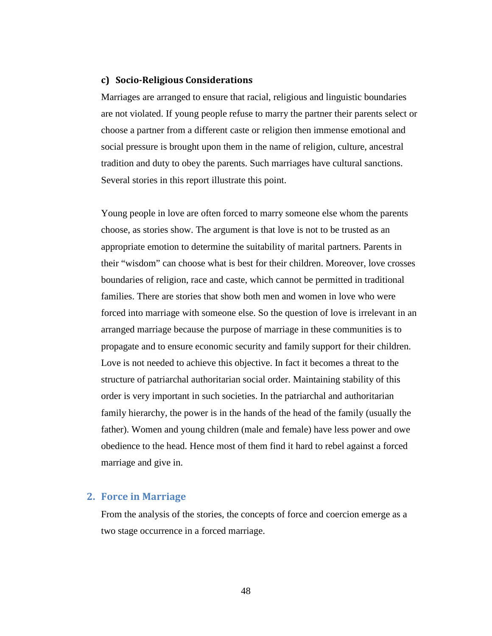#### <span id="page-48-0"></span>**c) Socio-Religious Considerations**

Marriages are arranged to ensure that racial, religious and linguistic boundaries are not violated. If young people refuse to marry the partner their parents select or choose a partner from a different caste or religion then immense emotional and social pressure is brought upon them in the name of religion, culture, ancestral tradition and duty to obey the parents. Such marriages have cultural sanctions. Several stories in this report illustrate this point.

Young people in love are often forced to marry someone else whom the parents choose, as stories show. The argument is that love is not to be trusted as an appropriate emotion to determine the suitability of marital partners. Parents in their "wisdom" can choose what is best for their children. Moreover, love crosses boundaries of religion, race and caste, which cannot be permitted in traditional families. There are stories that show both men and women in love who were forced into marriage with someone else. So the question of love is irrelevant in an arranged marriage because the purpose of marriage in these communities is to propagate and to ensure economic security and family support for their children. Love is not needed to achieve this objective. In fact it becomes a threat to the structure of patriarchal authoritarian social order. Maintaining stability of this order is very important in such societies. In the patriarchal and authoritarian family hierarchy, the power is in the hands of the head of the family (usually the father). Women and young children (male and female) have less power and owe obedience to the head. Hence most of them find it hard to rebel against a forced marriage and give in.

#### <span id="page-48-1"></span>**2. Force in Marriage**

From the analysis of the stories, the concepts of force and coercion emerge as a two stage occurrence in a forced marriage.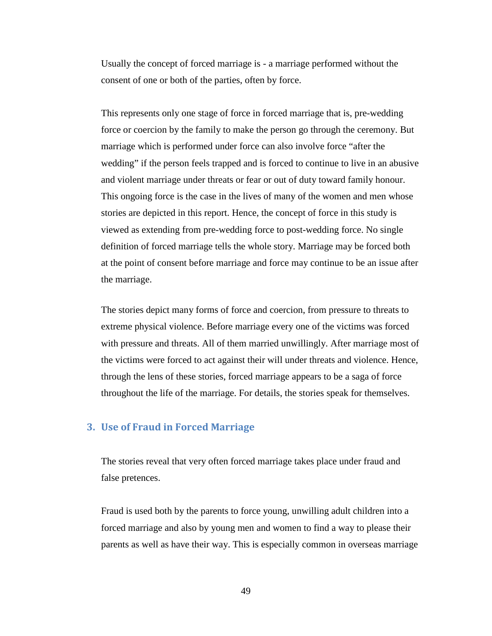Usually the concept of forced marriage is - a marriage performed without the consent of one or both of the parties, often by force.

This represents only one stage of force in forced marriage that is, pre-wedding force or coercion by the family to make the person go through the ceremony. But marriage which is performed under force can also involve force "after the wedding" if the person feels trapped and is forced to continue to live in an abusive and violent marriage under threats or fear or out of duty toward family honour. This ongoing force is the case in the lives of many of the women and men whose stories are depicted in this report. Hence, the concept of force in this study is viewed as extending from pre-wedding force to post-wedding force. No single definition of forced marriage tells the whole story. Marriage may be forced both at the point of consent before marriage and force may continue to be an issue after the marriage.

The stories depict many forms of force and coercion, from pressure to threats to extreme physical violence. Before marriage every one of the victims was forced with pressure and threats. All of them married unwillingly. After marriage most of the victims were forced to act against their will under threats and violence. Hence, through the lens of these stories, forced marriage appears to be a saga of force throughout the life of the marriage. For details, the stories speak for themselves.

#### <span id="page-49-0"></span>**3. Use of Fraud in Forced Marriage**

The stories reveal that very often forced marriage takes place under fraud and false pretences.

Fraud is used both by the parents to force young, unwilling adult children into a forced marriage and also by young men and women to find a way to please their parents as well as have their way. This is especially common in overseas marriage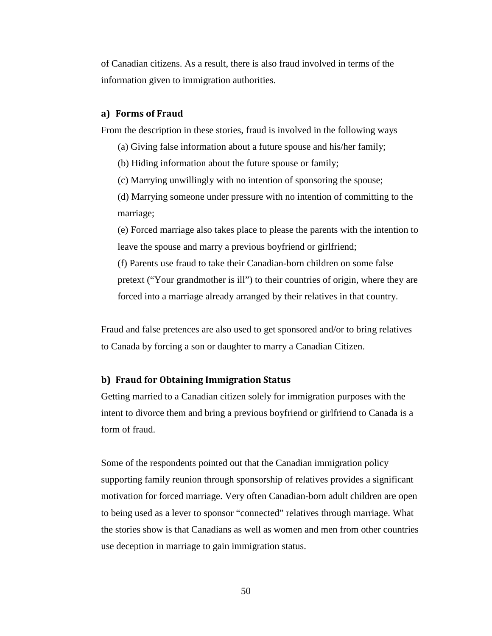of Canadian citizens. As a result, there is also fraud involved in terms of the information given to immigration authorities.

#### <span id="page-50-0"></span>**a) Forms of Fraud**

From the description in these stories, fraud is involved in the following ways

- (a) Giving false information about a future spouse and his/her family;
- (b) Hiding information about the future spouse or family;
- (c) Marrying unwillingly with no intention of sponsoring the spouse;
- (d) Marrying someone under pressure with no intention of committing to the marriage;

(e) Forced marriage also takes place to please the parents with the intention to leave the spouse and marry a previous boyfriend or girlfriend;

(f) Parents use fraud to take their Canadian-born children on some false pretext ("Your grandmother is ill") to their countries of origin, where they are forced into a marriage already arranged by their relatives in that country.

Fraud and false pretences are also used to get sponsored and/or to bring relatives to Canada by forcing a son or daughter to marry a Canadian Citizen.

#### <span id="page-50-1"></span>**b) Fraud for Obtaining Immigration Status**

Getting married to a Canadian citizen solely for immigration purposes with the intent to divorce them and bring a previous boyfriend or girlfriend to Canada is a form of fraud.

Some of the respondents pointed out that the Canadian immigration policy supporting family reunion through sponsorship of relatives provides a significant motivation for forced marriage. Very often Canadian-born adult children are open to being used as a lever to sponsor "connected" relatives through marriage. What the stories show is that Canadians as well as women and men from other countries use deception in marriage to gain immigration status.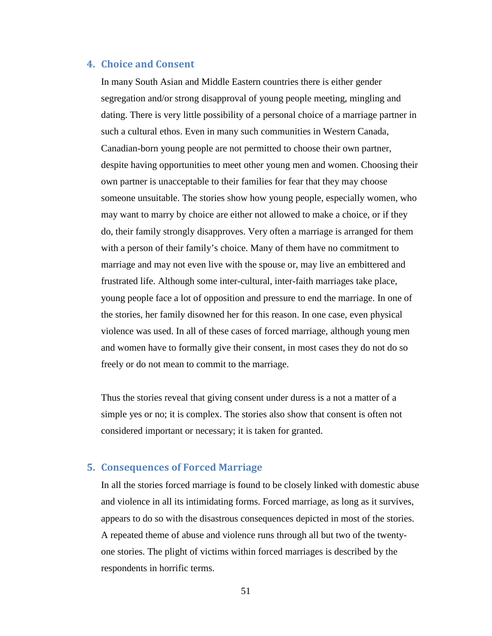#### <span id="page-51-0"></span>**4. Choice and Consent**

In many South Asian and Middle Eastern countries there is either gender segregation and/or strong disapproval of young people meeting, mingling and dating. There is very little possibility of a personal choice of a marriage partner in such a cultural ethos. Even in many such communities in Western Canada, Canadian-born young people are not permitted to choose their own partner, despite having opportunities to meet other young men and women. Choosing their own partner is unacceptable to their families for fear that they may choose someone unsuitable. The stories show how young people, especially women, who may want to marry by choice are either not allowed to make a choice, or if they do, their family strongly disapproves. Very often a marriage is arranged for them with a person of their family's choice. Many of them have no commitment to marriage and may not even live with the spouse or, may live an embittered and frustrated life. Although some inter-cultural, inter-faith marriages take place, young people face a lot of opposition and pressure to end the marriage. In one of the stories, her family disowned her for this reason. In one case, even physical violence was used. In all of these cases of forced marriage, although young men and women have to formally give their consent, in most cases they do not do so freely or do not mean to commit to the marriage.

Thus the stories reveal that giving consent under duress is a not a matter of a simple yes or no; it is complex. The stories also show that consent is often not considered important or necessary; it is taken for granted.

#### <span id="page-51-1"></span>**5. Consequences of Forced Marriage**

In all the stories forced marriage is found to be closely linked with domestic abuse and violence in all its intimidating forms. Forced marriage, as long as it survives, appears to do so with the disastrous consequences depicted in most of the stories. A repeated theme of abuse and violence runs through all but two of the twentyone stories. The plight of victims within forced marriages is described by the respondents in horrific terms.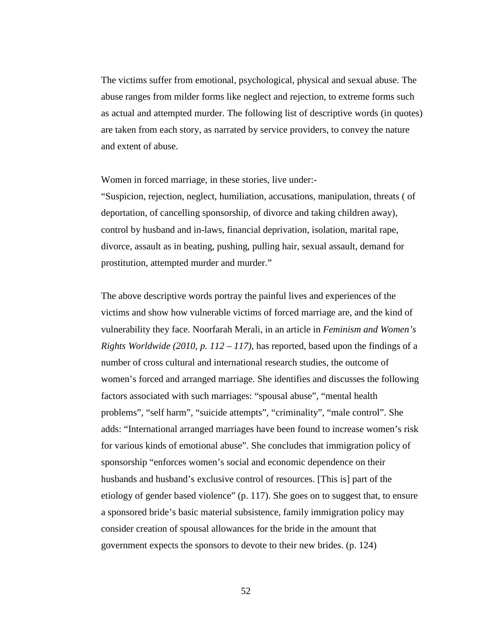The victims suffer from emotional, psychological, physical and sexual abuse. The abuse ranges from milder forms like neglect and rejection, to extreme forms such as actual and attempted murder. The following list of descriptive words (in quotes) are taken from each story, as narrated by service providers, to convey the nature and extent of abuse.

Women in forced marriage, in these stories, live under:-

"Suspicion, rejection, neglect, humiliation, accusations, manipulation, threats ( of deportation, of cancelling sponsorship, of divorce and taking children away), control by husband and in-laws, financial deprivation, isolation, marital rape, divorce, assault as in beating, pushing, pulling hair, sexual assault, demand for prostitution, attempted murder and murder."

The above descriptive words portray the painful lives and experiences of the victims and show how vulnerable victims of forced marriage are, and the kind of vulnerability they face. Noorfarah Merali, in an article in *Feminism and Women's Rights Worldwide (2010, p. 112 – 117),* has reported, based upon the findings of a number of cross cultural and international research studies, the outcome of women's forced and arranged marriage. She identifies and discusses the following factors associated with such marriages: "spousal abuse", "mental health problems", "self harm", "suicide attempts", "criminality", "male control". She adds: "International arranged marriages have been found to increase women's risk for various kinds of emotional abuse". She concludes that immigration policy of sponsorship "enforces women's social and economic dependence on their husbands and husband's exclusive control of resources. [This is] part of the etiology of gender based violence" (p. 117). She goes on to suggest that, to ensure a sponsored bride's basic material subsistence, family immigration policy may consider creation of spousal allowances for the bride in the amount that government expects the sponsors to devote to their new brides. (p. 124)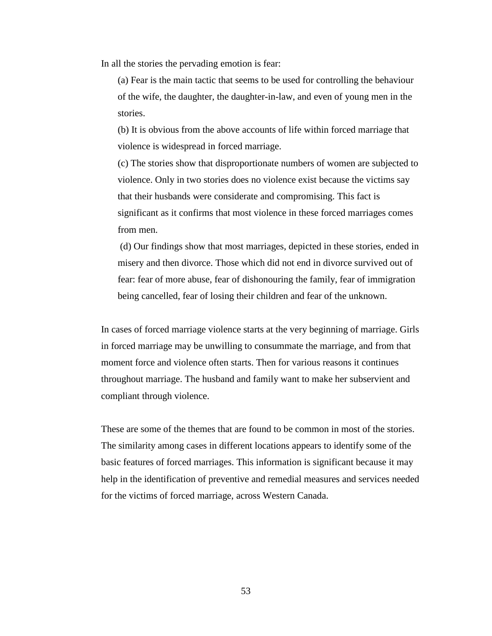In all the stories the pervading emotion is fear:

(a) Fear is the main tactic that seems to be used for controlling the behaviour of the wife, the daughter, the daughter-in-law, and even of young men in the stories.

(b) It is obvious from the above accounts of life within forced marriage that violence is widespread in forced marriage.

(c) The stories show that disproportionate numbers of women are subjected to violence. Only in two stories does no violence exist because the victims say that their husbands were considerate and compromising. This fact is significant as it confirms that most violence in these forced marriages comes from men.

(d) Our findings show that most marriages, depicted in these stories, ended in misery and then divorce. Those which did not end in divorce survived out of fear: fear of more abuse, fear of dishonouring the family, fear of immigration being cancelled, fear of losing their children and fear of the unknown.

In cases of forced marriage violence starts at the very beginning of marriage. Girls in forced marriage may be unwilling to consummate the marriage, and from that moment force and violence often starts. Then for various reasons it continues throughout marriage. The husband and family want to make her subservient and compliant through violence.

These are some of the themes that are found to be common in most of the stories. The similarity among cases in different locations appears to identify some of the basic features of forced marriages. This information is significant because it may help in the identification of preventive and remedial measures and services needed for the victims of forced marriage, across Western Canada.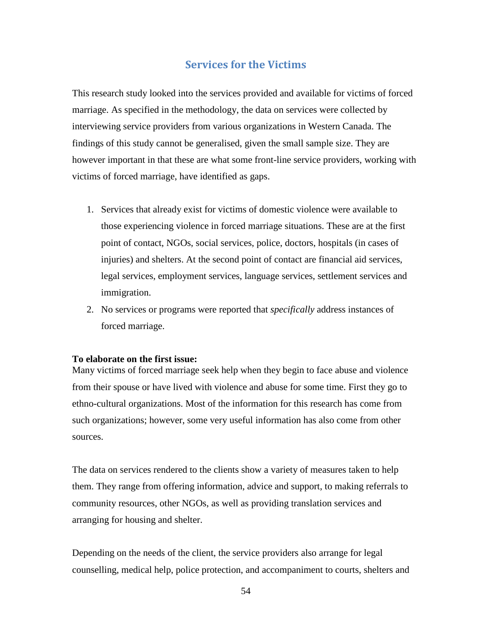# **Services for the Victims**

<span id="page-54-0"></span>This research study looked into the services provided and available for victims of forced marriage. As specified in the methodology, the data on services were collected by interviewing service providers from various organizations in Western Canada. The findings of this study cannot be generalised, given the small sample size. They are however important in that these are what some front-line service providers, working with victims of forced marriage, have identified as gaps.

- 1. Services that already exist for victims of domestic violence were available to those experiencing violence in forced marriage situations. These are at the first point of contact, NGOs, social services, police, doctors, hospitals (in cases of injuries) and shelters. At the second point of contact are financial aid services, legal services, employment services, language services, settlement services and immigration.
- 2. No services or programs were reported that *specifically* address instances of forced marriage.

#### **To elaborate on the first issue:**

Many victims of forced marriage seek help when they begin to face abuse and violence from their spouse or have lived with violence and abuse for some time. First they go to ethno-cultural organizations. Most of the information for this research has come from such organizations; however, some very useful information has also come from other sources.

The data on services rendered to the clients show a variety of measures taken to help them. They range from offering information, advice and support, to making referrals to community resources, other NGOs, as well as providing translation services and arranging for housing and shelter.

Depending on the needs of the client, the service providers also arrange for legal counselling, medical help, police protection, and accompaniment to courts, shelters and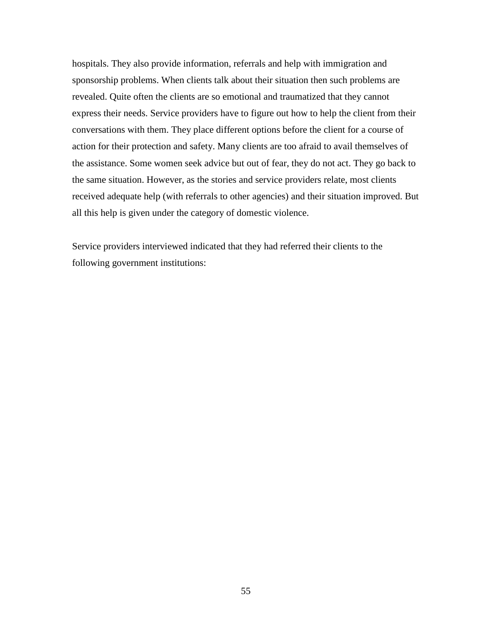hospitals. They also provide information, referrals and help with immigration and sponsorship problems. When clients talk about their situation then such problems are revealed. Quite often the clients are so emotional and traumatized that they cannot express their needs. Service providers have to figure out how to help the client from their conversations with them. They place different options before the client for a course of action for their protection and safety. Many clients are too afraid to avail themselves of the assistance. Some women seek advice but out of fear, they do not act. They go back to the same situation. However, as the stories and service providers relate, most clients received adequate help (with referrals to other agencies) and their situation improved. But all this help is given under the category of domestic violence.

Service providers interviewed indicated that they had referred their clients to the following government institutions: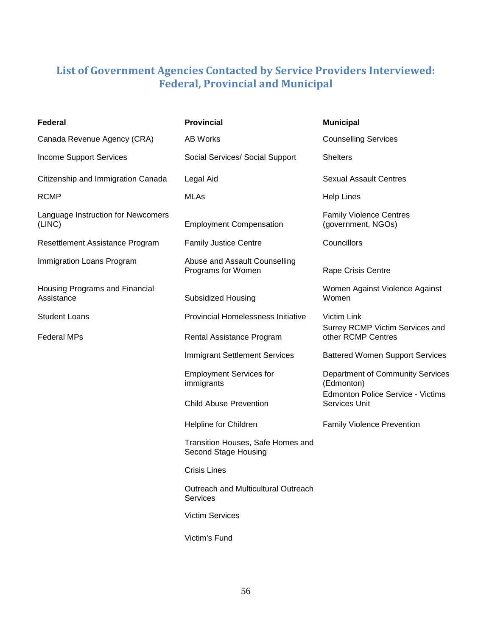# <span id="page-56-0"></span>**List of Government Agencies Contacted by Service Providers Interviewed: Federal, Provincial and Municipal**

<span id="page-56-1"></span>

| Federal                                      | <b>Provincial</b>                                         | <b>Municipal</b>                                          |  |
|----------------------------------------------|-----------------------------------------------------------|-----------------------------------------------------------|--|
| Canada Revenue Agency (CRA)                  | AB Works                                                  | <b>Counselling Services</b>                               |  |
| <b>Income Support Services</b>               | Social Services/ Social Support                           | <b>Shelters</b>                                           |  |
| Citizenship and Immigration Canada           | Legal Aid                                                 | <b>Sexual Assault Centres</b>                             |  |
| <b>RCMP</b>                                  | <b>MLAs</b>                                               | <b>Help Lines</b>                                         |  |
| Language Instruction for Newcomers<br>(LINC) | <b>Employment Compensation</b>                            | <b>Family Violence Centres</b><br>(government, NGOs)      |  |
| Resettlement Assistance Program              | <b>Family Justice Centre</b>                              | Councillors                                               |  |
| Immigration Loans Program                    | Abuse and Assault Counselling<br>Programs for Women       | Rape Crisis Centre                                        |  |
| Housing Programs and Financial<br>Assistance | <b>Subsidized Housing</b>                                 | Women Against Violence Against<br>Women                   |  |
| <b>Student Loans</b>                         | <b>Provincial Homelessness Initiative</b>                 | Victim Link                                               |  |
| <b>Federal MPs</b>                           | Rental Assistance Program                                 | Surrey RCMP Victim Services and<br>other RCMP Centres     |  |
|                                              | <b>Immigrant Settlement Services</b>                      | <b>Battered Women Support Services</b>                    |  |
|                                              | <b>Employment Services for</b><br>immigrants              | Department of Community Services<br>(Edmonton)            |  |
|                                              | <b>Child Abuse Prevention</b>                             | <b>Edmonton Police Service - Victims</b><br>Services Unit |  |
|                                              | Helpline for Children                                     | <b>Family Violence Prevention</b>                         |  |
|                                              | Transition Houses, Safe Homes and<br>Second Stage Housing |                                                           |  |
|                                              | <b>Crisis Lines</b>                                       |                                                           |  |
|                                              | Outreach and Multicultural Outreach<br><b>Services</b>    |                                                           |  |
|                                              | <b>Victim Services</b>                                    |                                                           |  |
|                                              | Victim's Fund                                             |                                                           |  |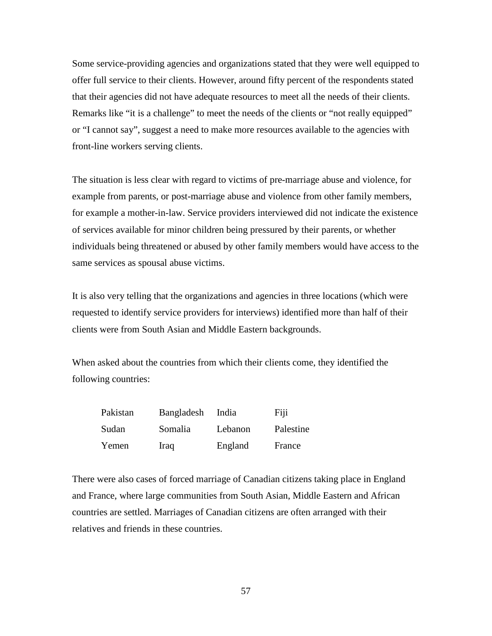Some service-providing agencies and organizations stated that they were well equipped to offer full service to their clients. However, around fifty percent of the respondents stated that their agencies did not have adequate resources to meet all the needs of their clients. Remarks like "it is a challenge" to meet the needs of the clients or "not really equipped" or "I cannot say", suggest a need to make more resources available to the agencies with front-line workers serving clients.

The situation is less clear with regard to victims of pre-marriage abuse and violence, for example from parents, or post-marriage abuse and violence from other family members, for example a mother-in-law. Service providers interviewed did not indicate the existence of services available for minor children being pressured by their parents, or whether individuals being threatened or abused by other family members would have access to the same services as spousal abuse victims.

It is also very telling that the organizations and agencies in three locations (which were requested to identify service providers for interviews) identified more than half of their clients were from South Asian and Middle Eastern backgrounds.

When asked about the countries from which their clients come, they identified the following countries:

| Pakistan | Bangladesh  | India   | Fiji      |
|----------|-------------|---------|-----------|
| Sudan    | Somalia     | Lebanon | Palestine |
| Yemen    | <b>Iraq</b> | England | France    |

There were also cases of forced marriage of Canadian citizens taking place in England and France, where large communities from South Asian, Middle Eastern and African countries are settled. Marriages of Canadian citizens are often arranged with their relatives and friends in these countries.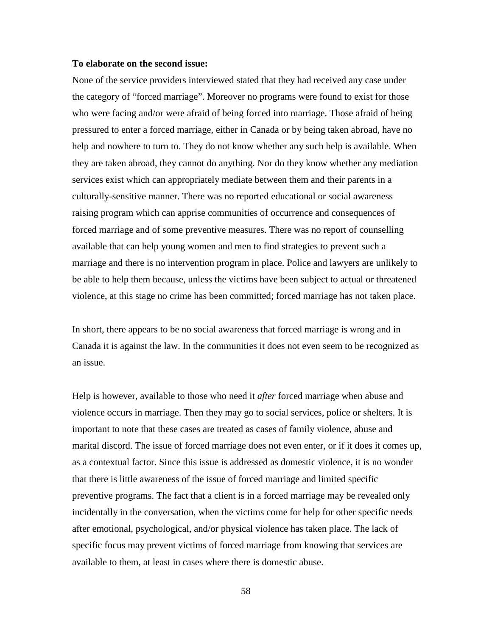#### **To elaborate on the second issue:**

None of the service providers interviewed stated that they had received any case under the category of "forced marriage". Moreover no programs were found to exist for those who were facing and/or were afraid of being forced into marriage. Those afraid of being pressured to enter a forced marriage, either in Canada or by being taken abroad, have no help and nowhere to turn to. They do not know whether any such help is available. When they are taken abroad, they cannot do anything. Nor do they know whether any mediation services exist which can appropriately mediate between them and their parents in a culturally-sensitive manner. There was no reported educational or social awareness raising program which can apprise communities of occurrence and consequences of forced marriage and of some preventive measures. There was no report of counselling available that can help young women and men to find strategies to prevent such a marriage and there is no intervention program in place. Police and lawyers are unlikely to be able to help them because, unless the victims have been subject to actual or threatened violence, at this stage no crime has been committed; forced marriage has not taken place.

In short, there appears to be no social awareness that forced marriage is wrong and in Canada it is against the law. In the communities it does not even seem to be recognized as an issue.

Help is however, available to those who need it *after* forced marriage when abuse and violence occurs in marriage. Then they may go to social services, police or shelters. It is important to note that these cases are treated as cases of family violence, abuse and marital discord. The issue of forced marriage does not even enter, or if it does it comes up, as a contextual factor. Since this issue is addressed as domestic violence, it is no wonder that there is little awareness of the issue of forced marriage and limited specific preventive programs. The fact that a client is in a forced marriage may be revealed only incidentally in the conversation, when the victims come for help for other specific needs after emotional, psychological, and/or physical violence has taken place. The lack of specific focus may prevent victims of forced marriage from knowing that services are available to them, at least in cases where there is domestic abuse.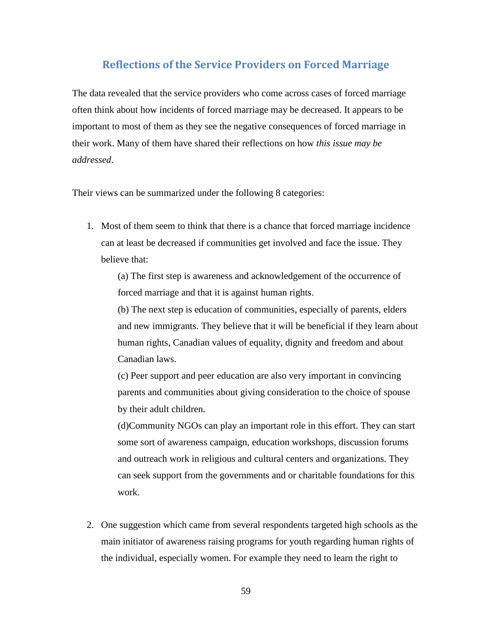# <span id="page-59-0"></span>**Reflections of the Service Providers on Forced Marriage**

The data revealed that the service providers who come across cases of forced marriage often think about how incidents of forced marriage may be decreased. It appears to be important to most of them as they see the negative consequences of forced marriage in their work. Many of them have shared their reflections on how *this issue may be addressed*.

Their views can be summarized under the following 8 categories:

1. Most of them seem to think that there is a chance that forced marriage incidence can at least be decreased if communities get involved and face the issue. They believe that:

(a) The first step is awareness and acknowledgement of the occurrence of forced marriage and that it is against human rights.

(b) The next step is education of communities, especially of parents, elders and new immigrants. They believe that it will be beneficial if they learn about human rights, Canadian values of equality, dignity and freedom and about Canadian laws.

(c) Peer support and peer education are also very important in convincing parents and communities about giving consideration to the choice of spouse by their adult children.

(d)Community NGOs can play an important role in this effort. They can start some sort of awareness campaign, education workshops, discussion forums and outreach work in religious and cultural centers and organizations. They can seek support from the governments and or charitable foundations for this work.

2. One suggestion which came from several respondents targeted high schools as the main initiator of awareness raising programs for youth regarding human rights of the individual, especially women. For example they need to learn the right to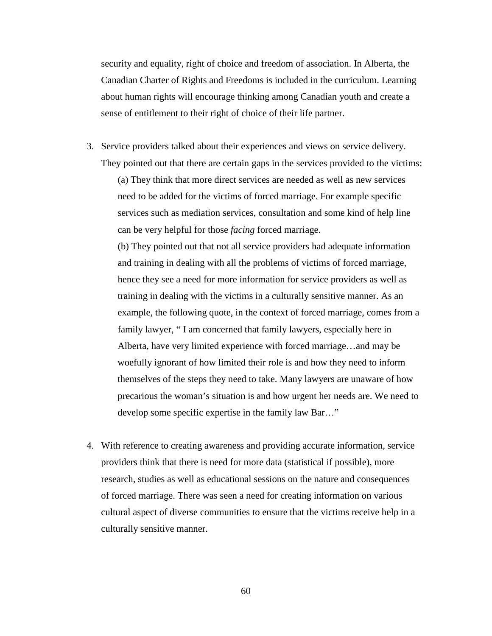security and equality, right of choice and freedom of association. In Alberta, the Canadian Charter of Rights and Freedoms is included in the curriculum. Learning about human rights will encourage thinking among Canadian youth and create a sense of entitlement to their right of choice of their life partner.

3. Service providers talked about their experiences and views on service delivery. They pointed out that there are certain gaps in the services provided to the victims:

(a) They think that more direct services are needed as well as new services need to be added for the victims of forced marriage. For example specific services such as mediation services, consultation and some kind of help line can be very helpful for those *facing* forced marriage.

(b) They pointed out that not all service providers had adequate information and training in dealing with all the problems of victims of forced marriage, hence they see a need for more information for service providers as well as training in dealing with the victims in a culturally sensitive manner. As an example, the following quote, in the context of forced marriage, comes from a family lawyer, " I am concerned that family lawyers, especially here in Alberta, have very limited experience with forced marriage…and may be woefully ignorant of how limited their role is and how they need to inform themselves of the steps they need to take. Many lawyers are unaware of how precarious the woman's situation is and how urgent her needs are. We need to develop some specific expertise in the family law Bar…"

4. With reference to creating awareness and providing accurate information, service providers think that there is need for more data (statistical if possible), more research, studies as well as educational sessions on the nature and consequences of forced marriage. There was seen a need for creating information on various cultural aspect of diverse communities to ensure that the victims receive help in a culturally sensitive manner.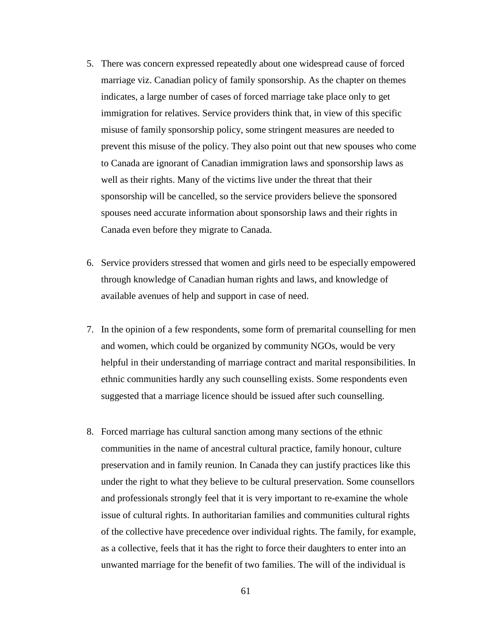- 5. There was concern expressed repeatedly about one widespread cause of forced marriage viz. Canadian policy of family sponsorship. As the chapter on themes indicates, a large number of cases of forced marriage take place only to get immigration for relatives. Service providers think that, in view of this specific misuse of family sponsorship policy, some stringent measures are needed to prevent this misuse of the policy. They also point out that new spouses who come to Canada are ignorant of Canadian immigration laws and sponsorship laws as well as their rights. Many of the victims live under the threat that their sponsorship will be cancelled, so the service providers believe the sponsored spouses need accurate information about sponsorship laws and their rights in Canada even before they migrate to Canada.
- 6. Service providers stressed that women and girls need to be especially empowered through knowledge of Canadian human rights and laws, and knowledge of available avenues of help and support in case of need.
- 7. In the opinion of a few respondents, some form of premarital counselling for men and women, which could be organized by community NGOs, would be very helpful in their understanding of marriage contract and marital responsibilities. In ethnic communities hardly any such counselling exists. Some respondents even suggested that a marriage licence should be issued after such counselling.
- 8. Forced marriage has cultural sanction among many sections of the ethnic communities in the name of ancestral cultural practice, family honour, culture preservation and in family reunion. In Canada they can justify practices like this under the right to what they believe to be cultural preservation. Some counsellors and professionals strongly feel that it is very important to re-examine the whole issue of cultural rights. In authoritarian families and communities cultural rights of the collective have precedence over individual rights. The family, for example, as a collective, feels that it has the right to force their daughters to enter into an unwanted marriage for the benefit of two families. The will of the individual is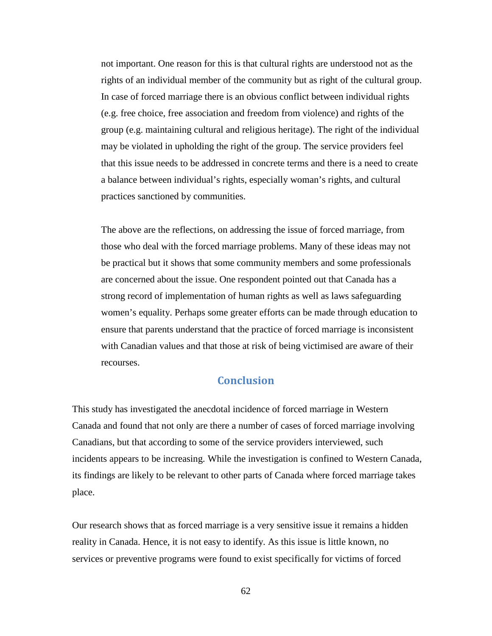not important. One reason for this is that cultural rights are understood not as the rights of an individual member of the community but as right of the cultural group. In case of forced marriage there is an obvious conflict between individual rights (e.g. free choice, free association and freedom from violence) and rights of the group (e.g. maintaining cultural and religious heritage). The right of the individual may be violated in upholding the right of the group. The service providers feel that this issue needs to be addressed in concrete terms and there is a need to create a balance between individual's rights, especially woman's rights, and cultural practices sanctioned by communities.

The above are the reflections, on addressing the issue of forced marriage, from those who deal with the forced marriage problems. Many of these ideas may not be practical but it shows that some community members and some professionals are concerned about the issue. One respondent pointed out that Canada has a strong record of implementation of human rights as well as laws safeguarding women's equality. Perhaps some greater efforts can be made through education to ensure that parents understand that the practice of forced marriage is inconsistent with Canadian values and that those at risk of being victimised are aware of their recourses.

# **Conclusion**

<span id="page-62-0"></span>This study has investigated the anecdotal incidence of forced marriage in Western Canada and found that not only are there a number of cases of forced marriage involving Canadians, but that according to some of the service providers interviewed, such incidents appears to be increasing. While the investigation is confined to Western Canada, its findings are likely to be relevant to other parts of Canada where forced marriage takes place.

Our research shows that as forced marriage is a very sensitive issue it remains a hidden reality in Canada. Hence, it is not easy to identify. As this issue is little known, no services or preventive programs were found to exist specifically for victims of forced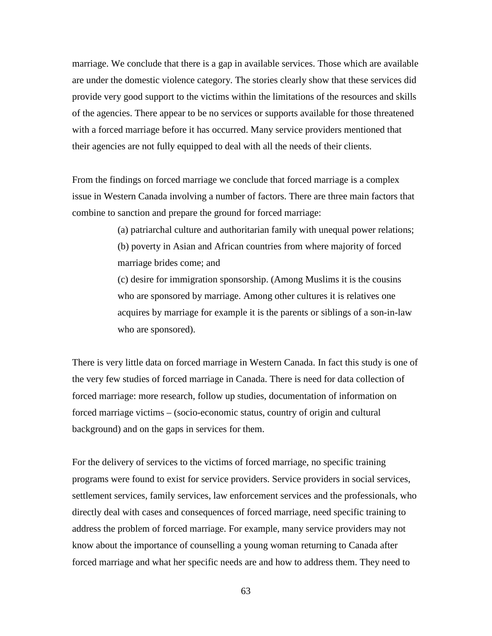marriage. We conclude that there is a gap in available services. Those which are available are under the domestic violence category. The stories clearly show that these services did provide very good support to the victims within the limitations of the resources and skills of the agencies. There appear to be no services or supports available for those threatened with a forced marriage before it has occurred. Many service providers mentioned that their agencies are not fully equipped to deal with all the needs of their clients.

From the findings on forced marriage we conclude that forced marriage is a complex issue in Western Canada involving a number of factors. There are three main factors that combine to sanction and prepare the ground for forced marriage:

> (a) patriarchal culture and authoritarian family with unequal power relations; (b) poverty in Asian and African countries from where majority of forced marriage brides come; and

> (c) desire for immigration sponsorship. (Among Muslims it is the cousins who are sponsored by marriage. Among other cultures it is relatives one acquires by marriage for example it is the parents or siblings of a son-in-law who are sponsored).

There is very little data on forced marriage in Western Canada. In fact this study is one of the very few studies of forced marriage in Canada. There is need for data collection of forced marriage: more research, follow up studies, documentation of information on forced marriage victims – (socio-economic status, country of origin and cultural background) and on the gaps in services for them.

For the delivery of services to the victims of forced marriage, no specific training programs were found to exist for service providers. Service providers in social services, settlement services, family services, law enforcement services and the professionals, who directly deal with cases and consequences of forced marriage, need specific training to address the problem of forced marriage. For example, many service providers may not know about the importance of counselling a young woman returning to Canada after forced marriage and what her specific needs are and how to address them. They need to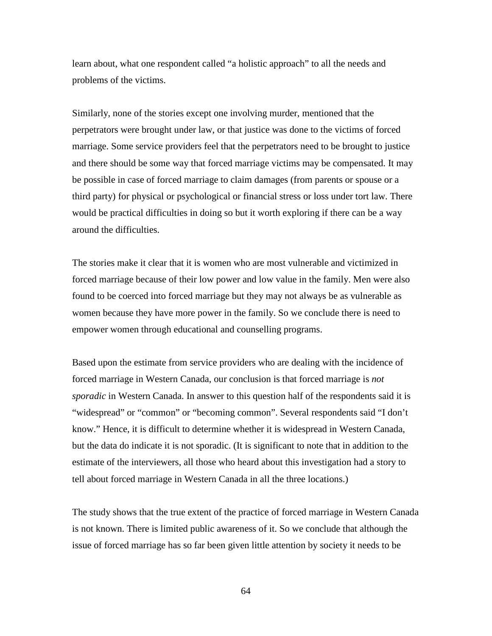learn about, what one respondent called "a holistic approach" to all the needs and problems of the victims.

Similarly, none of the stories except one involving murder, mentioned that the perpetrators were brought under law, or that justice was done to the victims of forced marriage. Some service providers feel that the perpetrators need to be brought to justice and there should be some way that forced marriage victims may be compensated. It may be possible in case of forced marriage to claim damages (from parents or spouse or a third party) for physical or psychological or financial stress or loss under tort law. There would be practical difficulties in doing so but it worth exploring if there can be a way around the difficulties.

The stories make it clear that it is women who are most vulnerable and victimized in forced marriage because of their low power and low value in the family. Men were also found to be coerced into forced marriage but they may not always be as vulnerable as women because they have more power in the family. So we conclude there is need to empower women through educational and counselling programs.

Based upon the estimate from service providers who are dealing with the incidence of forced marriage in Western Canada, our conclusion is that forced marriage is *not sporadic* in Western Canada. In answer to this question half of the respondents said it is "widespread" or "common" or "becoming common". Several respondents said "I don't know." Hence, it is difficult to determine whether it is widespread in Western Canada, but the data do indicate it is not sporadic. (It is significant to note that in addition to the estimate of the interviewers, all those who heard about this investigation had a story to tell about forced marriage in Western Canada in all the three locations.)

The study shows that the true extent of the practice of forced marriage in Western Canada is not known. There is limited public awareness of it. So we conclude that although the issue of forced marriage has so far been given little attention by society it needs to be